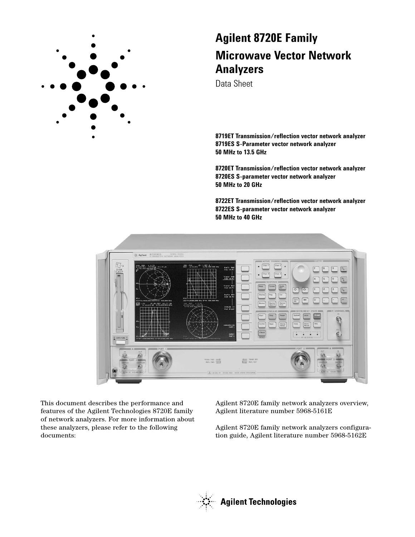

# **Agilent 8720E Family Microwave Vector Network Analyzers**

Data Sheet

**8719ET Transmission/reflection vector network analyzer 8719ES S-Parameter vector network analyzer 50 MHz to 13.5 GHz**

**8720ET Transmission/reflection vector network analyzer 8720ES S-parameter vector network analyzer 50 MHz to 20 GHz**

**8722ET Transmission/reflection vector network analyzer 8722ES S-parameter vector network analyzer 50 MHz to 40 GHz**



This document describes the performance and features of the Agilent Technologies 8720E family of network analyzers. For more information about these analyzers, please refer to the following documents:

Agilent 8720E family network analyzers overview, Agilent literature number 5968-5161E

Agilent 8720E family network analyzers configuration guide, Agilent literature number 5968-5162E

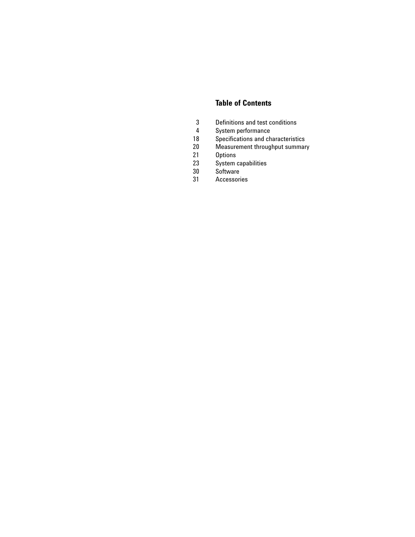# **Table of Contents**

- 3 Definitions and test conditions
- 4 System performance
- 18 Specifications and characteristics
- 20 Measurement throughput summary
- 21 **Options**
- 23 System capabilities
- 30 Software
- 31 Accessories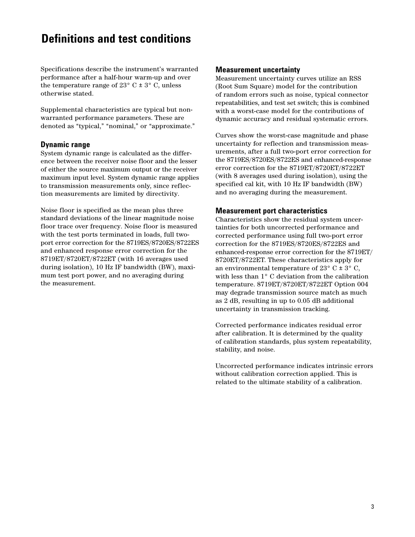# **Definitions and test conditions**

Specifications describe the instrument's warranted performance after a half-hour warm-up and over the temperature range of  $23^{\circ}$  C  $\pm$  3° C, unless otherwise stated.

Supplemental characteristics are typical but nonwarranted performance parameters. These are denoted as "typical," "nominal," or "approximate."

#### **Dynamic range**

System dynamic range is calculated as the difference between the receiver noise floor and the lesser of either the source maximum output or the receiver maximum input level. System dynamic range applies to transmission measurements only, since reflection measurements are limited by directivity.

Noise floor is specified as the mean plus three standard deviations of the linear magnitude noise floor trace over frequency. Noise floor is measured with the test ports terminated in loads, full twoport error correction for the 8719ES/8720ES/8722ES and enhanced response error correction for the 8719ET/8720ET/8722ET (with 16 averages used during isolation), 10 Hz IF bandwidth (BW), maximum test port power, and no averaging during the measurement.

#### **Measurement uncertainty**

Measurement uncertainty curves utilize an RSS (Root Sum Square) model for the contribution of random errors such as noise, typical connector repeatabilities, and test set switch; this is combined with a worst-case model for the contributions of dynamic accuracy and residual systematic errors.

Curves show the worst-case magnitude and phase uncertainty for reflection and transmission measurements, after a full two-port error correction for the 8719ES/8720ES/8722ES and enhanced-response error correction for the 8719ET/8720ET/8722ET (with 8 averages used during isolation), using the specified cal kit, with 10 Hz IF bandwidth (BW) and no averaging during the measurement.

#### **Measurement port characteristics**

Characteristics show the residual system uncertainties for both uncorrected performance and corrected performance using full two-port error correction for the 8719ES/8720ES/8722ES and enhanced-response error correction for the 8719ET/ 8720ET/8722ET. These characteristics apply for an environmental temperature of  $23^{\circ}$  C  $\pm$  3° C, with less than 1° C deviation from the calibration temperature. 8719ET/8720ET/8722ET Option 004 may degrade transmission source match as much as 2 dB, resulting in up to 0.05 dB additional uncertainty in transmission tracking.

Corrected performance indicates residual error after calibration. It is determined by the quality of calibration standards, plus system repeatability, stability, and noise.

Uncorrected performance indicates intrinsic errors without calibration correction applied. This is related to the ultimate stability of a calibration.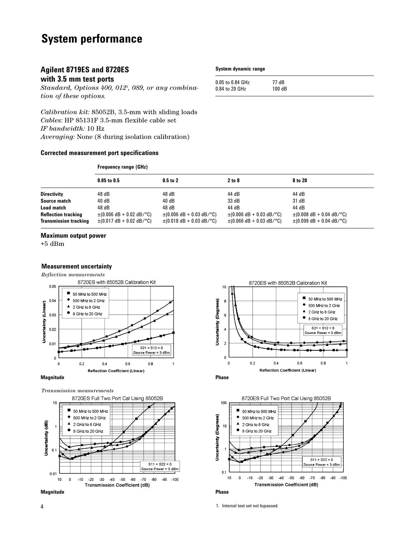# **System performance**

# **Agilent 8719ES and 8720ES**

# **with 3.5 mm test ports**

*Standard, Options 400, 0121 , 089, or any combination of these options.* 

*Calibration kit:* 85052B, 3.5-mm with sliding loads *Cables:* HP 85131F 3.5-mm flexible cable set *IF bandwidth:* 10 Hz *Averaging:* None (8 during isolation calibration)

#### **Corrected measurement port specifications**

# **Frequency range (GHz)**

|                              | $0.05$ to $0.5$                                             | $0.5$ to $2$                                                | 2 to 8                        | 8 to 20                                                     |
|------------------------------|-------------------------------------------------------------|-------------------------------------------------------------|-------------------------------|-------------------------------------------------------------|
| <b>Directivity</b>           | 48 dB                                                       | 48 dB                                                       | 44 dB                         | 44 dB                                                       |
| Source match                 | 40 dB                                                       | 40 dB                                                       | 33 dB                         | 31 dB                                                       |
| <b>Load match</b>            | 48 dB                                                       | 48 dB                                                       | 44 dB                         | 44 dB                                                       |
| <b>Reflection tracking</b>   | $\pm (0.006 \text{ dB} + 0.02 \text{ dB}/^{\circ}\text{C})$ | $\pm (0.006$ dB + 0.03 dB/°C)                               | $\pm (0.006$ dB + 0.03 dB/°C) | $\pm (0.008$ dB + 0.04 dB/°C)                               |
| <b>Transmission tracking</b> | $\pm (0.017 \text{ dB} + 0.02 \text{ dB}/^{\circ}\text{C})$ | $\pm (0.018 \text{ dB} + 0.03 \text{ dB}/^{\circ}\text{C})$ | $\pm (0.066$ dB + 0.03 dB/°C) | $\pm (0.099 \text{ dB} + 0.04 \text{ dB}/^{\circ}\text{C})$ |

#### **Maximum output power**

+5 dBm

#### **Measurement uncertainty**

*Reflection measurements*



#### **Magnitude Phase**

*Transmission measurements*



**Magnitude Phase**







1. Internal test set not bypassed.

#### **System dynamic range**

|  |  | <b>Frequency range (GHZ)</b> |  |
|--|--|------------------------------|--|
|  |  |                              |  |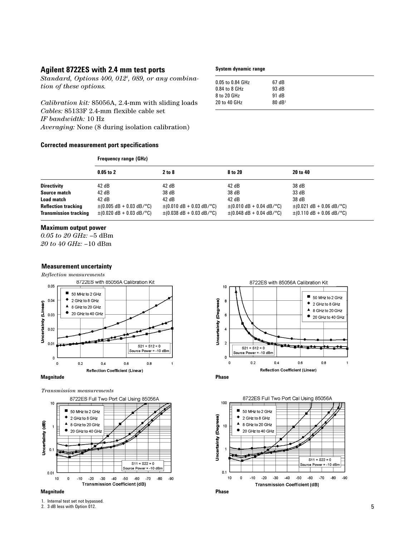### **Agilent 8722ES with 2.4 mm test ports**

*Standard, Options 400, 0121 , 089, or any combination of these options.*

*Calibration kit:* 85056A, 2.4-mm with sliding loads *Cables:* 85133F 2.4-mm flexible cable set *IF bandwidth:* 10 Hz *Averaging:* None (8 during isolation calibration)

**Frequency range (GHz)**

#### **Corrected measurement port specifications**

#### **System dynamic range**

| 0.05 to 0.84 GHz | 67 dB             |  |
|------------------|-------------------|--|
| 0.84 to 8 GHz    | 93 dB             |  |
| 8 to 20 GHz      | 91 dB             |  |
| 20 to 40 GHz     | $80 \text{ dB}^2$ |  |
|                  |                   |  |

|                              | $0.05$ to 2                                                 | 2 to 8                                                      | 8 to 20                                                     | 20 to 40                                                    |
|------------------------------|-------------------------------------------------------------|-------------------------------------------------------------|-------------------------------------------------------------|-------------------------------------------------------------|
| <b>Directivity</b>           | 42 dB                                                       | 42 dB                                                       | 42 dB                                                       | 38 dB                                                       |
| Source match                 | 42dB                                                        | 38 dB                                                       | 38 dB                                                       | 33 dB                                                       |
| Load match                   | 42dB                                                        | 42dB                                                        | 42 dB                                                       | 38 dB                                                       |
| <b>Reflection tracking</b>   | $\pm (0.005 \text{ dB} + 0.03 \text{ dB}/^{\circ}\text{C})$ | $\pm (0.010 \text{ dB} + 0.03 \text{ dB}/^{\circ}\text{C})$ | $\pm (0.010 \text{ dB} + 0.04 \text{ dB}/^{\circ}\text{C})$ | $\pm (0.021 \text{ dB} + 0.06 \text{ dB}/^{\circ}\text{C})$ |
| <b>Transmission tracking</b> | $\pm (0.020 \text{ dB} + 0.03 \text{ dB}/^{\circ}\text{C})$ | $\pm$ (0.038 dB + 0.03 dB/°C)                               | $\pm$ (0.048 dB + 0.04 dB/°C)                               | $\pm$ (0.110 dB + 0.06 dB/°C)                               |

#### **Maximum output power**

*0.05 to 20 GHz:* –5 dBm *20 to 40 GHz:* –10 dBm

#### **Measurement uncertainty**

*Reflection measurements*



#### **Magnitude Phase**

*Transmission measurements*













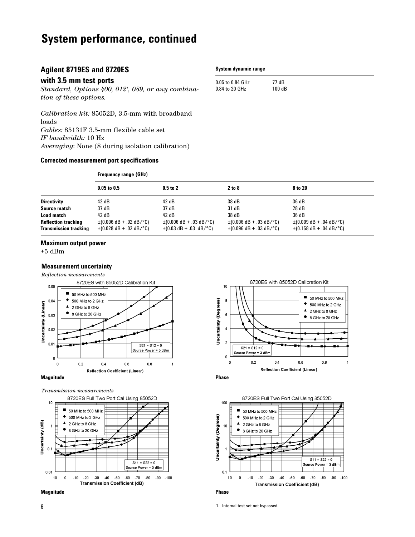# **System performance, continued**

# **Agilent 8719ES and 8720ES**

#### **with 3.5 mm test ports**

*Standard, Options 400, 0121 , 089, or any combination of these options.*

*Calibration kit:* 85052D, 3.5-mm with broadband loads *Cables:* 85131F 3.5-mm flexible cable set *IF bandwidth:* 10 Hz *Averaging*: None (8 during isolation calibration)

#### **Corrected measurement port specifications**

|                              | <b>Frequency range (GHz)</b> |                                                             |                              |                                                             |
|------------------------------|------------------------------|-------------------------------------------------------------|------------------------------|-------------------------------------------------------------|
|                              | $0.05$ to $0.5$              | $0.5$ to $2$                                                | 2 to 8                       | 8 to 20                                                     |
| <b>Directivity</b>           | 42 dB                        | 42 dB                                                       | 38 dB                        | 36 dB                                                       |
| Source match                 | 37 dB                        | 37 dB                                                       | 31 dB                        | 28 dB                                                       |
| <b>Load match</b>            | 42 dB                        | 42 dB                                                       | 38 dB                        | 36 dB                                                       |
| <b>Reflection tracking</b>   | $\pm (0.006$ dB + .02 dB/°C) | $\pm (0.006 \text{ dB} + 0.03 \text{ dB}/^{\circ}\text{C})$ | $\pm (0.006$ dB + .03 dB/°C) | $\pm (0.009 \text{ dB} + 0.04 \text{ dB}/^{\circ}\text{C})$ |
| <b>Transmission tracking</b> | $\pm$ (0.028 dB + .02 dB/°C) | $\pm (0.03 \text{ dB} + 0.03 \text{ dB}/^{\circ}\text{C})$  | $\pm$ (0.096 dB + .03 dB/°C) | $\pm$ (0.158 dB + .04 dB/°C)                                |

#### **Maximum output power**

 $+5~\mathrm{dBm}$ 

#### **Measurement uncertainty**

*Reflection measurements*



#### **Magnitude Phase**

*Transmission measurements*











1. Internal test set not bypassed.

#### **System dynamic range**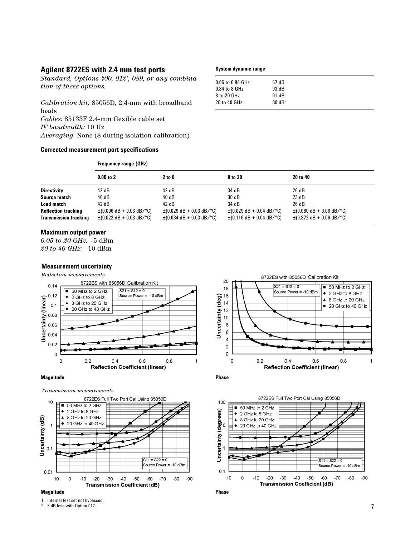### **Agilent 8722ES with 2.4 mm test ports**

*Standard, Options 400, 0121 , 089, or any combination of these options.*

*Calibration kit:* 85056D, 2.4-mm with broadband loads *Cables:* 85133F 2.4-mm flexible cable set *IF bandwidth:* 10 Hz *Averaging*: None (8 during isolation calibration)

**Frequency range (GHz)**

#### **Corrected measurement port specifications**

#### **System dynamic range**

| 67 dB             |
|-------------------|
|                   |
| 93 dB             |
|                   |
| 91 dB             |
| $80 \text{ dB}^2$ |
|                   |
|                   |

|                              | $0.05$ to $2$                                               | 2 to 8                                                      | 8 to 20                                  | 20 to 40                                                    |
|------------------------------|-------------------------------------------------------------|-------------------------------------------------------------|------------------------------------------|-------------------------------------------------------------|
| <b>Directivity</b>           | 42 dB                                                       | 42 dB                                                       | 34 dB                                    | 26 dB                                                       |
| Source match                 | 40dB                                                        | 40 dB                                                       | 30 dB                                    | 23 dB                                                       |
| Load match                   | 42 dB                                                       | 42 dB                                                       | 34 dB                                    | 26 dB                                                       |
| <b>Reflection tracking</b>   | $\pm (0.006 \text{ dB} + 0.03 \text{ dB}/^{\circ}\text{C})$ | $\pm (0.029 \text{ dB} + 0.03 \text{ dB}/^{\circ}\text{C})$ | $\pm$ (0.029 dB + 0.04 dB/°C)            | $\pm (0.080 \text{ dB} + 0.06 \text{ dB}/^{\circ}\text{C})$ |
| <b>Transmission tracking</b> | $\pm (0.022 \text{ dB} + 0.03 \text{ dB}/^{\circ}\text{C})$ | $\pm (0.034$ dB + 0.03 dB/°C)                               | $\pm$ (0.116 dB + 0.04 dB/ $^{\circ}$ C) | $\pm$ (0.372 dB + 0.06 dB/°C)                               |

#### **Maximum output power**

*0.05 to 20 GHz:* –5 dBm *20 to 40 GHz:* –10 dBm

#### **Measurement uncertainty**

*Reflection measurements*



#### **Magnitude Phase**

*Transmission measurements*









<sup>1.</sup> Internal test set not bypassed.

<sup>2. 3</sup> dB less with Option 012.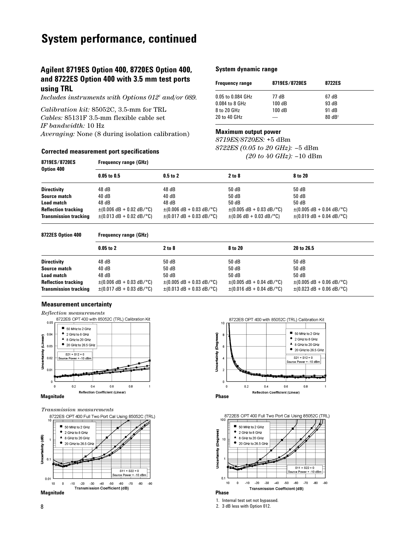# **System performance, continued**

# **Agilent 8719ES Option 400, 8720ES Option 400, and 8722ES Option 400 with 3.5 mm test ports using TRL**

*Includes instruments with Options 0121 and/or 089.* 

*Calibration kit:* 85052C, 3.5-mm for TRL *Cables:* 85131F 3.5-mm flexible cable set *IF bandwidth:* 10 Hz *Averaging:* None (8 during isolation calibration)

#### **Corrected measurement port specifications**

#### **System dynamic range**

| <b>Frequency range</b> | 8719ES/8720ES | 8722ES            |
|------------------------|---------------|-------------------|
| 0.05 to 0.084 GHz      | 77 dB         | 67 dB             |
| 0.084 to 8 GHz         | 100dB         | 93 dB             |
| 8 to 20 GHz            | 100dB         | 91 dB             |
| 20 to 40 GHz           | —             | $80 \text{ dB}^2$ |

#### **Maximum output power**

*8719ES/8720ES:* +5 dBm *8722ES (0.05 to 20 GHz):* –5 dBm *(20 to 40 GHz):* –10 dBm

| <b>Frequency range (GHz)</b>                                                                                               |                                                                                                                            |                                                                                             |                                                                                              |  |
|----------------------------------------------------------------------------------------------------------------------------|----------------------------------------------------------------------------------------------------------------------------|---------------------------------------------------------------------------------------------|----------------------------------------------------------------------------------------------|--|
| $0.05$ to $0.5$                                                                                                            | $0.5$ to $2$                                                                                                               | 2 to 8                                                                                      | 8 to 20                                                                                      |  |
| 48 dB                                                                                                                      | 48 dB                                                                                                                      | 50 dB                                                                                       | 50 dB                                                                                        |  |
| 40 dB                                                                                                                      | 40 dB                                                                                                                      | 50 dB                                                                                       | 50 dB                                                                                        |  |
| 48 dB                                                                                                                      | 48 dB                                                                                                                      | 50 dB                                                                                       | 50 dB                                                                                        |  |
| $\pm (0.006 \text{ dB} + 0.02 \text{ dB}/^{\circ}\text{C})$<br>$\pm (0.013 \text{ dB} + 0.02 \text{ dB}/^{\circ}\text{C})$ | $\pm (0.006 \text{ dB} + 0.03 \text{ dB}/^{\circ}\text{C})$<br>$\pm (0.017 \text{ dB} + 0.03 \text{ dB}/^{\circ}\text{C})$ | $\pm (0.005 \text{ dB} + 0.03 \text{ dB}/^{\circ}\text{C})$<br>$\pm (0.06$ dB + 0.03 dB/°C) | $\pm (0.005 \text{ dB} + 0.04 \text{ dB}/^{\circ}\text{C})$<br>$\pm$ (0.019 dB + 0.04 dB/°C) |  |
|                                                                                                                            |                                                                                                                            |                                                                                             |                                                                                              |  |

**8722ES Option 400 Frequency range (GHz)**

|                              | $0.05$ to $2$                                               | 2 to 8                                                      | 8 to 20                                                     | 20 to 26.5                                                  |
|------------------------------|-------------------------------------------------------------|-------------------------------------------------------------|-------------------------------------------------------------|-------------------------------------------------------------|
| <b>Directivity</b>           | 48 dB                                                       | 50 dB                                                       | 50 dB                                                       | 50 dB                                                       |
| Source match                 | 40dB                                                        | 50 dB                                                       | 50 dB                                                       | 50 dB                                                       |
| <b>Load match</b>            | 48 dB                                                       | 50 dB                                                       | 50 dB                                                       | 50 dB                                                       |
| <b>Reflection tracking</b>   | $\pm (0.006 \text{ dB} + 0.03 \text{ dB}/^{\circ}\text{C})$ | $\pm (0.005 \text{ dB} + 0.03 \text{ dB}/^{\circ}\text{C})$ | $\pm (0.005 \text{ dB} + 0.04 \text{ dB}/^{\circ}\text{C})$ | $\pm (0.005 \text{ dB} + 0.06 \text{ dB}/^{\circ}\text{C})$ |
| <b>Transmission tracking</b> | $\pm (0.017 \text{ dB} + 0.03 \text{ dB}/^{\circ}\text{C})$ | $\pm (0.013 \text{ dB} + 0.03 \text{ dB}/^{\circ}\text{C})$ | $\pm (0.016$ dB + 0.04 dB/°C)                               | $\pm (0.023 \text{ dB} + 0.06 \text{ dB}/^{\circ}\text{C})$ |

#### **Measurement uncertainty**











1. Internal test set not bypassed.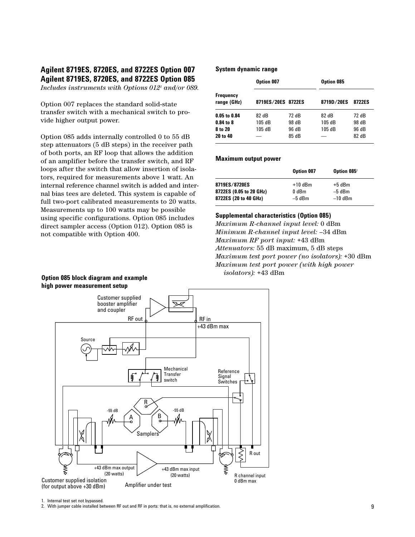# **Agilent 8719ES, 8720ES, and 8722ES Option 007 Agilent 8719ES, 8720ES, and 8722ES Option 085**

*Includes instruments with Options 0121 and/or 089.*

Option 007 replaces the standard solid-state transfer switch with a mechanical switch to provide higher output power.

Option 085 adds internally controlled 0 to 55 dB step attenuators (5 dB steps) in the receiver path of both ports, an RF loop that allows the addition of an amplifier before the transfer switch, and RF loops after the switch that allow insertion of isolators, required for measurements above 1 watt. An internal reference channel switch is added and internal bias tees are deleted. This system is capable of full two-port calibrated measurements to 20 watts. Measurements up to 100 watts may be possible using specific configurations. Option 085 includes direct sampler access (Option 012). Option 085 is not compatible with Option 400.

#### **System dynamic range**

|                                 | Option 007         |       | Option 085 |        |
|---------------------------------|--------------------|-------|------------|--------|
| <b>Frequency</b><br>range (GHz) | 8719ES/20ES 8722ES |       | 8719D/20ES | 8722ES |
| $0.05$ to $0.84$                | 82 dB              | 72 dB | 82 dB      | 72 dB  |
| $0.84$ to $8$                   | 105 dB             | 98 dB | 105 dB     | 98 dB  |
| 8 to 20                         | 105 dB             | 96 dB | 105 dB     | 96 dB  |
| 20 to 40                        |                    | 85 dB |            | 82 dB  |

#### **Maximum output power**

|                                          | Option 007         | Option 085 <sup>2</sup> |  |
|------------------------------------------|--------------------|-------------------------|--|
| 8719ES/8720ES<br>8722ES (0.05 to 20 GHz) | $+10$ dBm<br>0 dBm | +5 dBm<br>$-5$ dBm      |  |
| 8722ES (20 to 40 GHz)                    | $-5$ dBm           | $-10$ dBm               |  |

#### **Supplemental characteristics (Option 085)**

*Maximum R-channel input level:* 0 dBm *Minimum R-channel input level:* –34 dBm *Maximum RF port input:* +43 dBm *Attenuators:* 55 dB maximum, 5 dB steps *Maximum test port power (no isolators):* +30 dBm *Maximum test port power (with high power isolators):* +43 dBm





<sup>1.</sup> Internal test set not bypassed.

2. With jumper cable installed between RF out and RF in ports: that is, no external amplification.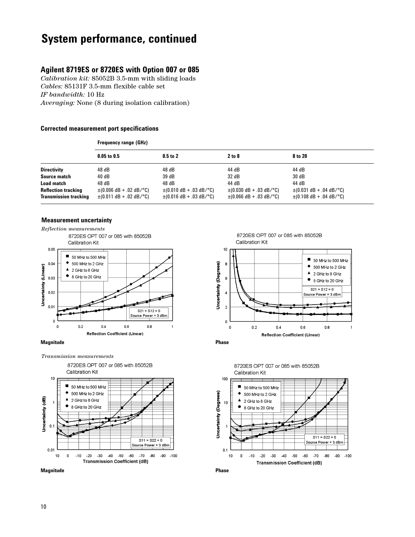# **System performance, continued**

# **Agilent 8719ES or 8720ES with Option 007 or 085**

*Calibration kit:* 85052B 3.5-mm with sliding loads *Cables:* 85131F 3.5-mm flexible cable set *IF bandwidth:* 10 Hz *Averaging:* None (8 during isolation calibration)

#### **Corrected measurement port specifications**

|                                                            | <b>Frequency range (GHz)</b>                                                                |                                                                                                                       |                                                                                             |                                                                                             |  |
|------------------------------------------------------------|---------------------------------------------------------------------------------------------|-----------------------------------------------------------------------------------------------------------------------|---------------------------------------------------------------------------------------------|---------------------------------------------------------------------------------------------|--|
|                                                            | $0.05$ to $0.5$                                                                             | $0.5$ to $2$                                                                                                          | 2 to 8                                                                                      | 8 to 20                                                                                     |  |
| <b>Directivity</b>                                         | 48 dB                                                                                       | 48 dB                                                                                                                 | 44 dB                                                                                       | 44 dB                                                                                       |  |
| Source match                                               | 40 dB                                                                                       | 39 dB                                                                                                                 | 32 dB                                                                                       | 30 dB                                                                                       |  |
| <b>Load match</b>                                          | 48 dB                                                                                       | 48 dB                                                                                                                 | 44 dB                                                                                       | 44 dB                                                                                       |  |
| <b>Reflection tracking</b><br><b>Transmission tracking</b> | $\pm (0.006$ dB + .02 dB/°C)<br>$\pm (0.011 \text{ dB} + 0.02 \text{ dB}/^{\circ}\text{C})$ | $\pm (0.010 \text{ dB} + 0.03 \text{ dB} / \text{°C})$<br>$\pm (0.016 \text{ dB} + 0.03 \text{ dB}/^{\circ}\text{C})$ | $\pm (0.030 \text{ dB} + 0.03 \text{ dB}/^{\circ}\text{C})$<br>$\pm (0.066$ dB + .03 dB/°C) | $\pm (0.031 \text{ dB} + 0.04 \text{ dB}/^{\circ}\text{C})$<br>$\pm (0.108$ dB + .04 dB/°C) |  |

#### **Measurement uncertainty**



#### **Magnitude Phase**

*Transmission measurements*















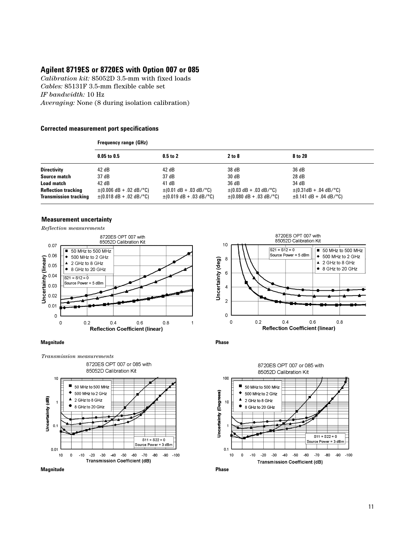# **Agilent 8719ES or 8720ES with Option 007 or 085**

*Calibration kit:* 85052D 3.5-mm with fixed loads *Cables:* 85131F 3.5-mm flexible cable set *IF bandwidth:* 10 Hz *Averaging:* None (8 during isolation calibration)

#### **Corrected measurement port specifications**

|                                                            | <b>Frequency range (GHz)</b>                                 |                                                                                            |                                                                                            |                                                           |  |
|------------------------------------------------------------|--------------------------------------------------------------|--------------------------------------------------------------------------------------------|--------------------------------------------------------------------------------------------|-----------------------------------------------------------|--|
|                                                            | $0.05$ to $0.5$                                              | $0.5$ to $2$                                                                               | 2 to 8                                                                                     | 8 to 20                                                   |  |
| <b>Directivity</b>                                         | 42 dB                                                        | 42 dB                                                                                      | 38 dB                                                                                      | 36 dB                                                     |  |
| Source match                                               | 37 dB                                                        | 37 dB                                                                                      | 30 dB                                                                                      | 28 dB                                                     |  |
| <b>Load match</b>                                          | 42 dB                                                        | 41 dB                                                                                      | 36 dB                                                                                      | 34 dB                                                     |  |
| <b>Reflection tracking</b><br><b>Transmission tracking</b> | $\pm (0.006$ dB + .02 dB/°C)<br>$\pm (0.018$ dB + .02 dB/°C) | $\pm (0.01$ dB + .03 dB/°C)<br>$\pm (0.019 \text{ dB} + 0.03 \text{ dB}/^{\circ}\text{C})$ | $\pm (0.03 \text{ dB} + 0.03 \text{ dB}/^{\circ}\text{C})$<br>$\pm (0.080$ dB + .03 dB/°C) | $\pm$ (0.31dB + .04 dB/°C)<br>$\pm 0.141$ dB + .04 dB/°C) |  |

#### **Measurement uncertainty**

*Reflection measurements*



#### **Magnitude Phase**







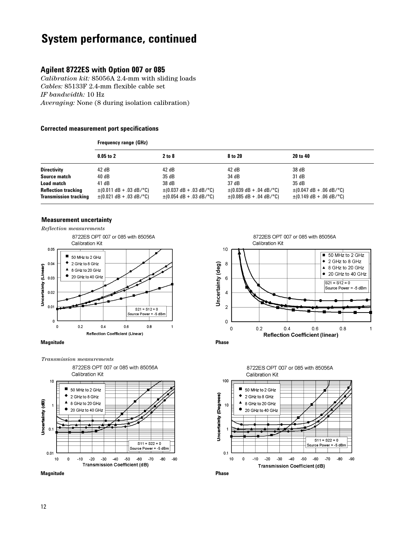# **System performance, continued**

# **Agilent 8722ES with Option 007 or 085**

*Calibration kit:* 85056A 2.4-mm with sliding loads *Cables:* 85133F 2.4-mm flexible cable set *IF bandwidth:* 10 Hz *Averaging:* None (8 during isolation calibration)

#### **Corrected measurement port specifications**

|                                                            | <b>Frequency range (GHz)</b>                                                                                               |                                                                                                                            |                                                                                                                            |                                                                                            |  |
|------------------------------------------------------------|----------------------------------------------------------------------------------------------------------------------------|----------------------------------------------------------------------------------------------------------------------------|----------------------------------------------------------------------------------------------------------------------------|--------------------------------------------------------------------------------------------|--|
|                                                            | $0.05$ to 2                                                                                                                | 2 to 8                                                                                                                     | 8 to 20                                                                                                                    | 20 to 40                                                                                   |  |
| <b>Directivity</b>                                         | 42 dB                                                                                                                      | 42 dB                                                                                                                      | 42 dB                                                                                                                      | 38 dB                                                                                      |  |
| Source match                                               | 40 dB                                                                                                                      | 35 dB                                                                                                                      | 34 dB                                                                                                                      | 31 dB                                                                                      |  |
| <b>Load match</b>                                          | 41 dB                                                                                                                      | 38 dB                                                                                                                      | 37 dB                                                                                                                      | 35 dB                                                                                      |  |
| <b>Reflection tracking</b><br><b>Transmission tracking</b> | $\pm (0.011 \text{ dB} + 0.03 \text{ dB}/^{\circ}\text{C})$<br>$\pm (0.021 \text{ dB} + 0.03 \text{ dB}/^{\circ}\text{C})$ | $\pm (0.037 \text{ dB} + 0.03 \text{ dB}/^{\circ}\text{C})$<br>$\pm (0.054 \text{ dB} + 0.03 \text{ dB}/^{\circ}\text{C})$ | $\pm (0.039 \text{ dB} + 0.04 \text{ dB}/^{\circ}\text{C})$<br>$\pm (0.085 \text{ dB} + 0.04 \text{ dB}/^{\circ}\text{C})$ | $\pm (0.047 \text{ dB} + .06 \text{ dB}/^{\circ}\text{C})$<br>$\pm$ (0.149 dB + .06 dB/°C) |  |

#### **Measurement uncertainty**



#### **Magnitude Phase**

*Transmission measurements* 8722ES OPT 007 or 085 with 85056A Calibration Kit 10 50 MHz to 2 GHz 2 GHz to 8 GHz Uncertainty (dB) 8 GHz to 20 GHz 1 20 GHz to 40 GHz





0.









 $-90$ 

 $-80$ 

10  $\mathbf 0$ 

**Uncertainty (Degrees)**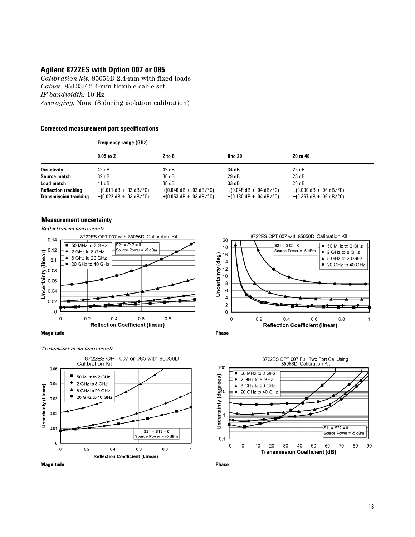# **Agilent 8722ES with Option 007 or 085**

*Calibration kit:* 85056D 2.4-mm with fixed loads *Cables:* 85133F 2.4-mm flexible cable set *IF bandwidth:* 10 Hz *Averaging:* None (8 during isolation calibration)

#### **Corrected measurement port specifications**

|                                                            | <b>Frequency range (GHz)</b>                                                                                               |                                                                                             |                                                              |                                                                                           |  |
|------------------------------------------------------------|----------------------------------------------------------------------------------------------------------------------------|---------------------------------------------------------------------------------------------|--------------------------------------------------------------|-------------------------------------------------------------------------------------------|--|
|                                                            | $0.05$ to 2                                                                                                                | 2 to 8                                                                                      | 8 to 20                                                      | 20 to 40                                                                                  |  |
| <b>Directivity</b>                                         | 42 dB                                                                                                                      | 42 dB                                                                                       | 34 dB                                                        | 26 dB                                                                                     |  |
| Source match                                               | 39 dB                                                                                                                      | 36 dB                                                                                       | 29 dB                                                        | 23 dB                                                                                     |  |
| <b>Load match</b>                                          | 41 dB                                                                                                                      | 38 dB                                                                                       | 33 dB                                                        | 26 dB                                                                                     |  |
| <b>Reflection tracking</b><br><b>Transmission tracking</b> | $\pm (0.011 \text{ dB} + 0.03 \text{ dB}/^{\circ}\text{C})$<br>$\pm (0.022 \text{ dB} + 0.03 \text{ dB}/^{\circ}\text{C})$ | $\pm (0.046$ dB + .03 dB/°C)<br>$\pm (0.053 \text{ dB} + 0.03 \text{ dB}/^{\circ}\text{C})$ | $\pm (0.048$ dB + .04 dB/°C)<br>$\pm$ (0.130 dB + .04 dB/°C) | $\pm (0.090 \text{ dB} + 06 \text{ dB}/^{\circ}\text{C})$<br>$\pm$ (0.367 dB + .06 dB/°C) |  |

#### **Measurement uncertainty**

*Reflection measurements*





*Transmission measurements*







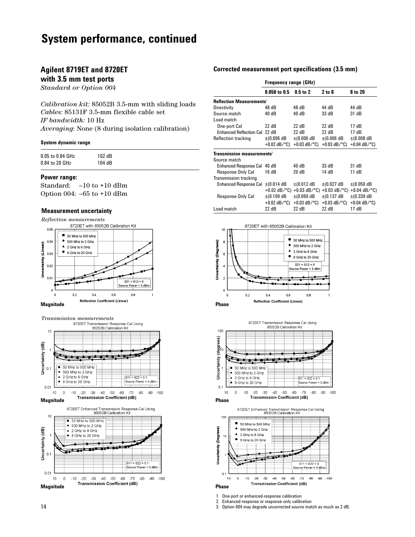# **System performance, continued**

### **Agilent 8719ET and 8720ET**

### **with 3.5 mm test ports**

*Standard or Option 004*

*Calibration kit:* 85052B 3.5-mm with sliding loads *Cables:* 85131F 3.5-mm flexible cable set *IF bandwidth:* 10 Hz *Averaging*: None (8 during isolation calibration)

#### **System dynamic range**

| 0.05 to 0.84 GHz | 102 dB |
|------------------|--------|
| 0.84 to 20 GHz   | 104 dB |

#### **Power range:**

Standard: –10 to +10 dBm Option 004: –65 to +10 dBm

#### **Measurement uncertainty**





**Transmission measurements**<br>8720ET Transmission Response Cal Using<br>85052B Calibration Kit  $10$ Uncertainty (dB)<br> $\frac{1}{2}$ 50 MHz to 500 MHz 500 MHz to 2 GHz 2 GHz to 8 GHz  $511 = 522 = 0.1$ 8 GHz to 20 GHz Source Power = 5 dBm  $0.01$  $10<sub>10</sub>$  $\mathbf 0$  $-10$   $-20$   $-30$   $-40$   $-50$   $-60$ -70 -80 -90 -100 **Magnitude** Transmission Coefficient (dB) **Phase** Phase 8720ET Enhanced Transmission Response Cal Using<br>85052B Calibration Kit  $10$ 50 MHz to 500 MHz Ŧ ۰ 500 MHz to 2 GHz Uncertainty (dB) 2 GHz to 8 GHz 8 GHz to 20 GHz  $\Omega$  $|S11 = S22 = 0.1$ Source Power = 5 dBm  $0.01$  $10$  $\circ$  $-20$ -30 -40 -50 -60 -70 -80  $-90 - 100$  $-10$ **Magnitude** Transmission Coefficient (dB) **Phase** Phase

#### **Corrected measurement port specifications (3.5 mm)**

|                                        | <b>Frequency range (GHz)</b> |                            |                            |                            |  |
|----------------------------------------|------------------------------|----------------------------|----------------------------|----------------------------|--|
|                                        | 0.050 to 0.5                 | 0.5 to 2                   | 2 to 8                     | 8 to 20                    |  |
| Reflection Measurements <sup>1</sup>   |                              |                            |                            |                            |  |
| Directivity                            | 48 dB                        | 48 dB                      | 44 dB                      | 44 dB                      |  |
| Source match                           | 40 dB                        | 40 dB                      | 33 dB                      | 31 dB                      |  |
| Load match                             |                              |                            |                            |                            |  |
| One-port Cal                           | 22 dB                        | 22 dB                      | 22 dB                      | 17 dB                      |  |
| <b>Enhanced Reflection Cal</b>         | 22 dB                        | 22 dB                      | 22 dB                      | 17 dB                      |  |
| <b>Reflection tracking</b>             | $\pm$ (0.006 dB              | $\pm$ (0.006 dB            | $\pm (0.006 \text{ dB})$   | $±(0.008$ dB               |  |
|                                        | $+0.02$ dB/ $^{\circ}$ C)    | $+0.03$ dB/ $^{\circ}$ C)  | $+0.03$ dB/ $^{\circ}$ C)  | $+0.04$ dB/ $^{\circ}$ C)  |  |
| Transmission measurements <sup>2</sup> |                              |                            |                            |                            |  |
| Source match                           |                              |                            |                            |                            |  |
| Enhanced Response Cal 40 dB            |                              | 40 dB                      | 33 dB                      | 31 dB                      |  |
| Response Only Cal                      | 16 dB                        | 20 dB                      | 14 dB                      | 11 dB                      |  |
| <b>Transmission tracking</b>           |                              |                            |                            |                            |  |
| <b>Enhanced Response Cal</b>           | $\pm$ (0.014 dB              | $\pm$ (0.012 dB            | $\pm (0.027 \text{ dB})$   | $\pm$ (0.050 dB            |  |
|                                        | $+0.02$ dB/ $^{\circ}$ C)    | $+0.03$ dB/ $^{\circ}$ C)  | $+0.03$ dB/ $^{\circ}$ C)  | $+0.04$ dB/ $^{\circ}$ C)  |  |
| Response Only Cal                      | $\pm$ (0.109 dB              | $\pm$ (0.069 dB            | $\pm$ (0.137 dB            | $\pm$ (0.339 dB            |  |
|                                        | $+0.02$ dB/°C)               | +0.03 $dB$ <sup>o</sup> C) | +0.03 $dB$ <sup>o</sup> C) | +0.04 $dB$ <sup>o</sup> C) |  |
| Load match                             | 22 dB                        | 22 dB                      | 22 dB                      | 17 dB                      |  |







1. One-port or enhanced-response calibration

2. Enhanced-response or response-only calibration

3. Option 004 may degrade uncorrected source match as much as 2 dB.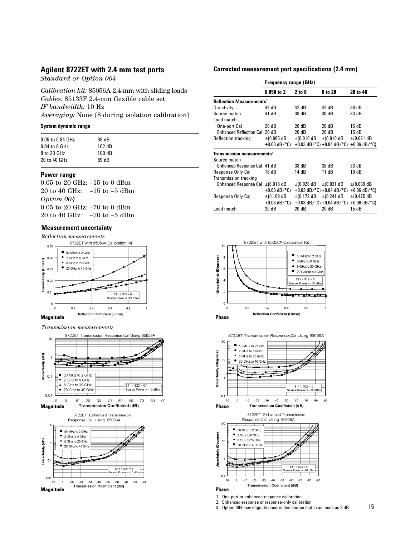### **Agilent 8722ET with 2.4 mm test ports**

*Standard or Option 004*

*Calibration kit:* 85056A 2.4-mm with sliding loads *Cables:* 85133F 2.4-mm flexible cable set *IF bandwidth:* 10 Hz *Averaging:* None (8 during isolation calibration)

#### **System dynamic range**

| 98 dB  |
|--------|
| 102 dB |
| 100 dB |
| 89 dB  |
|        |

#### **Power range**

0.05 to 20 GHz: –15 to 0 dBm 20 to 40 GHz: –15 to –5 dBm *Option 004* 0.05 to 20 GHz: –70 to 0 dBm 20 to 40 GHz: –70 to –5 dBm

#### **Measurement uncertainty**



*Transmission measurements*



#### **Corrected measurement port specifications (2.4 mm)**

|                                              | <b>Frequency range (GHz)</b> |                 |                                                 |                            |  |
|----------------------------------------------|------------------------------|-----------------|-------------------------------------------------|----------------------------|--|
|                                              | $0.050$ to 2                 | 2 to 8          | 8 to 20                                         | 20 to 40                   |  |
| <b>Reflection Measurements<sup>1</sup></b>   |                              |                 |                                                 |                            |  |
| Directivity                                  | 42 dB                        | 42 dB           | 42 dB                                           | 38 dB                      |  |
| Source match                                 | 41 dB                        | 38 dB           | 38 dB                                           | 33 dB                      |  |
| Load match                                   |                              |                 |                                                 |                            |  |
| One-port Cal                                 | 20 dB                        | 20 dB           | 20 dB                                           | 15 dB                      |  |
| Enhanced Reflection Cal 20 dB                |                              | 20 dB           | 20 dB                                           | 15 dB                      |  |
| <b>Reflection tracking</b>                   | $\pm (0.005$ dB              | $\pm$ (0.010 dB | $\pm$ (0.010 dB                                 | $\pm$ (0.021 dB            |  |
|                                              | +0.03 dB/ $^{\circ}$ C)      |                 | +0.03 dB/ $^{\circ}$ C) +0.04 dB/ $^{\circ}$ C) | +0.06 $dB$ <sup>o</sup> C) |  |
| <b>Transmission measurements<sup>2</sup></b> |                              |                 |                                                 |                            |  |
| Source match                                 |                              |                 |                                                 |                            |  |
| Enhanced Response Cal 41 dB                  |                              | 38 dB           | 38 dB                                           | 33 dB                      |  |
| Response Only Cal                            | 16 dB                        | 14 dB           | 11 dB                                           | 10 dB                      |  |
| <b>Transmission tracking</b>                 |                              |                 |                                                 |                            |  |
| <b>Enhanced Response Cal</b>                 | $\pm$ (0.018 dB              | $\pm$ (0.026 dB | $\pm$ (0.031 dB                                 | $\pm$ (0.069 dB            |  |
|                                              | $+0.03$ dB/°C)               |                 | +0.03 dB/ $^{\circ}$ C) +0.04 dB/ $^{\circ}$ C) | +0.06 $dB$ <sup>o</sup> C) |  |
| Response Only Cal                            | $\pm$ (0.109 dB              | $\pm$ (0.172 dB | $\pm$ (0.241 dB                                 | $±$ (0.475 dB              |  |
|                                              | $+0.03$ dB/°C)               |                 | +0.03 dB/ $^{\circ}$ C) +0.04 dB/ $^{\circ}$ C) | +0.06 $dB$ <sup>o</sup> C) |  |
| Load match                                   | 20dB                         | 20dB            | 20 dB                                           | 15 dB                      |  |



8722ET Transmission Response Cal Using 85056A



- 1. One-port or enhanced-response calibration
- 2. Enhanced-response or response-only calibration 3. Option 004 may degrade uncorrected source match as much as 2 dB.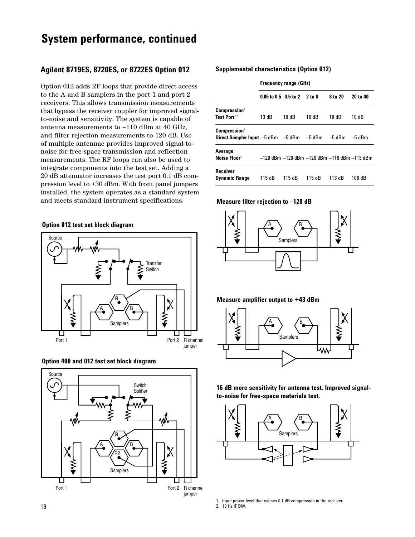# **System performance, continued**

### **Agilent 8719ES, 8720ES, or 8722ES Option 012**

Option 012 adds RF loops that provide direct access to the A and B samplers in the port 1 and port 2 receivers. This allows transmission measurements that bypass the receiver coupler for improved signalto-noise and sensitivity. The system is capable of antenna measurements to –110 dBm at 40 GHz, and filter rejection measurements to 120 dB. Use of multiple antennae provides improved signal-tonoise for free-space transmission and reflection measurements. The RF loops can also be used to integrate components into the test set. Adding a 20 dB attenuator increases the test port 0.1 dB compression level to +30 dBm. With front panel jumpers installed, the system operates as a standard system and meets standard instrument specifications.

#### **Option 012 test set block diagram**







#### **Supplemental characteristics (Option 012)**

|                                                                                                             | <b>Frequency range (GHz)</b>      |        |        |         |                                              |
|-------------------------------------------------------------------------------------------------------------|-----------------------------------|--------|--------|---------|----------------------------------------------|
|                                                                                                             | $0.05$ to 0.5 $0.5$ to 2 $2$ to 8 |        |        | 8 to 20 | 20 to 40                                     |
| Compression <sup>1</sup><br>Test Port <sup>1,2</sup>                                                        | 13 dB                             | 10 dB  | 10 dB  | 10 dB   | 10 dB                                        |
| <b>Compression</b> <sup>1</sup><br><b>Direct Sampler Input</b> $-5$ dBm $-5$ dBm $-5$ dBm $-5$ dBm $-5$ dBm |                                   |        |        |         |                                              |
| Average<br>Noise Floor <sup>2</sup>                                                                         |                                   |        |        |         | -120 dBm -120 dBm -120 dBm -118 dBm -113 dBm |
| <b>Receiver</b><br><b>Dynamic Range</b>                                                                     | 115 dB                            | 115 dB | 115 dB | 113 dB  | 108 dB                                       |

#### **Measure filter rejection to –120 dB**



#### **Measure amplifier output to +43 dBm**



**16 dB more sensitivity for antenna test. Improved signalto-noise for free-space materials test.**



- 1. Input power level that causes 0.1 dB compression in the receiver.
- 2. 10 Hz IF BW.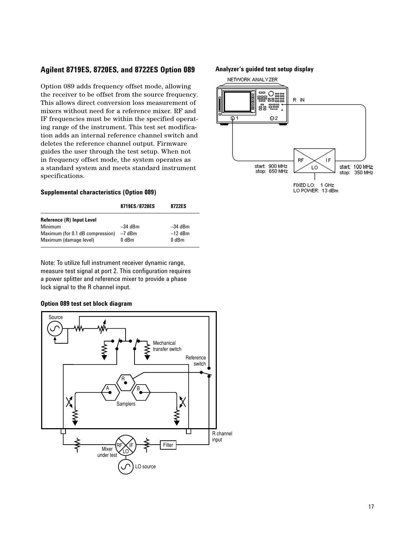# **Agilent 8719ES, 8720ES, and 8722ES Option 089**

Option 089 adds frequency offset mode, allowing the receiver to be offset from the source frequency. This allows direct conversion loss measurement of mixers without need for a reference mixer. RF and IF frequencies must be within the specified operating range of the instrument. This test set modification adds an internal reference channel switch and deletes the reference channel output. Firmware guides the user through the test setup. When not in frequency offset mode, the system operates as a standard system and meets standard instrument specifications.

#### **Supplemental characteristics (Option 089)**

|                                  | 8719ES/8720ES | 8722ES    |
|----------------------------------|---------------|-----------|
| Reference (R) Input Level        |               |           |
| Minimum                          | $-34$ dBm     | $-34$ dBm |
| Maximum (for 0.1 dB compression) | -7 dBm        | $-12$ dBm |
| Maximum (damage level)           | 0 dBm         | 0 dBm     |

Note: To utilize full instrument receiver dynamic range, measure test signal at port 2. This configuration requires a power splitter and reference mixer to provide a phase lock signal to the R channel input.

### **Option 089 test set block diagram**



#### **Analyzer's guided test setup display**

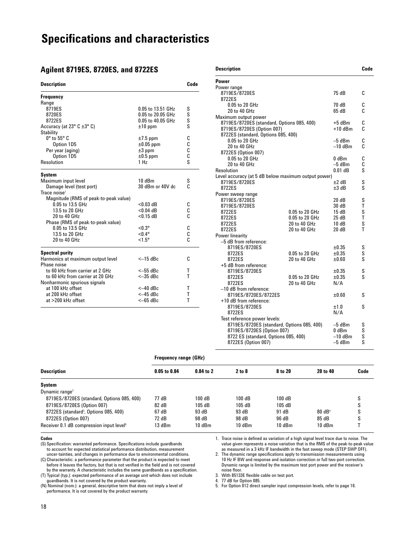# **Specifications and characteristics**

### **Agilent 8719ES, 8720ES, and 8722ES**

| <b>Description</b>                         |                   | Code        |
|--------------------------------------------|-------------------|-------------|
| <b>Frequency</b>                           |                   |             |
| Range                                      |                   |             |
| 8719ES                                     | 0.05 to 13.51 GHz |             |
| 8720ES                                     | 0.05 to 20.05 GHz |             |
| 8722ES                                     | 0.05 to 40.05 GHz | s<br>s<br>s |
| Accuracy (at $23^\circ$ C $\pm 3^\circ$ C) | $±10$ ppm         |             |
| <b>Stability</b>                           |                   |             |
| $0^\circ$ to 55 $^\circ$ C                 | $±7.5$ ppm        | C           |
| Option 1D5                                 | $\pm 0.05$ ppm    | С           |
| Per year (aging)                           | $±3$ ppm          | C           |
| Option 1D5                                 | $±0.5$ ppm        | C           |
| Resolution                                 | 1 H <sub>Z</sub>  | S           |
| System                                     |                   |             |
| Maximum input level                        | 10dBm             | S           |
| Damage level (test port)                   | 30 dBm or 40V dc  | C           |
| Trace noise <sup>1</sup>                   |                   |             |
| Magnitude (RMS of peak-to-peak value)      |                   |             |
| 0.05 to 13.5 GHz                           | $< 0.03$ dB       | С           |
| 13.5 to 20 GHz                             | $< 0.04$ dB       | С           |
| 20 to 40 GHz                               | $< 0.15$ dB       | Ć           |
| Phase (RMS of peak-to-peak value)          |                   |             |
| 0.05 to 13.5 GHz                           | $< 0.3^{\circ}$   | С           |
| 13.5 to 20 GHz                             | $< 0.4$ °         | c<br>C      |
| 20 to 40 GHz                               | $< 1.5^{\circ}$   |             |
| <b>Spectral purity</b>                     |                   |             |
| Harmonics at maximum output level          | $<-15$ dBc        | C           |
| Phase noise                                |                   |             |
| to 60 kHz from carrier at 2 GHz            | $<-55$ dBc        | Т           |
| to 60 kHz from carrier at 20 GHz           | $<-35$ dBc        | т           |
| Nonharmonic spurious signals               |                   |             |
| at 100 kHz offset                          | $<-40$ dBc        | т           |
| at 200 kHz offset                          | $<-45$ dBc        | т           |
| at >200 kHz offset                         | $<-65$ dBc        | т           |

| <b>Description</b>                                                       |                                |                     | Code   |
|--------------------------------------------------------------------------|--------------------------------|---------------------|--------|
| Power                                                                    |                                |                     |        |
| Power range<br>8719ES/8720ES                                             |                                | 75 dB               | C      |
| 8722ES                                                                   |                                |                     |        |
| 0.05 to 20 GHz                                                           |                                | 70 dB               | C<br>C |
| 20 to 40 GHz<br>Maximum output power                                     |                                | 65 dB               |        |
| 8719ES/8720ES (standard, Options 085, 400)                               |                                | $+5$ dBm            | C      |
| 8719ES/8720ES (Option 007)                                               |                                | $+10$ dBm           | C      |
| 8722ES (standard, Options 085, 400)                                      |                                |                     |        |
| 0.05 to 20 GHz                                                           |                                | $-5$ dBm            | C      |
| 20 to 40 GHz                                                             |                                | –10 dBm             | ſ.     |
| 8722ES (Option 007)                                                      |                                |                     |        |
| 0.05 to 20 GHz                                                           |                                | 0 dBm               | C      |
| 20 to 40 GHz                                                             |                                | –5 dBm              | C      |
| Resolution                                                               |                                | $0.01$ dB           | S      |
| Level accuracy (at 5 dB below maximum output power)                      |                                | $±2$ dB             | S      |
| 8719ES/8720ES<br>8722ES                                                  |                                | ±3 dB               | S      |
| Power sweep range                                                        |                                |                     |        |
| 8719ES/8720ES                                                            |                                | 20 dB               | S      |
| 8719ES/8720ES                                                            |                                | 30 dB               | т      |
| 8722ES                                                                   | 0.05 to 20 GHz                 | 15 dB               | S      |
| 8722ES                                                                   | 0.05 to 20 GHz                 | 25 dB               | T      |
| 8722ES                                                                   | 20 to 40 GHz                   | 10dB                | S      |
| 8722ES                                                                   | 20 to 40 GHz                   | 20 dB               | т      |
| Power linearity                                                          |                                |                     |        |
| -5 dB from reference:                                                    |                                |                     |        |
| 8719ES/8720ES                                                            |                                | $\pm 0.35$          | S      |
| 8722ES<br>8722ES                                                         | 0.05 to 20 GHz<br>20 to 40 GHz | $\pm 0.35$<br>±0.60 | S<br>S |
| +5 dB from reference:                                                    |                                |                     |        |
| 8719ES/8720ES                                                            |                                | ±0.35               | S      |
| 8722ES                                                                   | 0.05 to 20 GHz                 | $\pm 0.35$          | S      |
| 8722ES                                                                   | 20 to 40 GHz                   | N/A                 |        |
| -10 dB from reference:                                                   |                                |                     |        |
| 8719ES/8720ES/8722ES                                                     |                                | $\pm 0.60$          | S      |
| +10 dB from reference:                                                   |                                |                     |        |
| 8719ES/8720ES                                                            |                                | ±1.0                | S      |
| 8722ES                                                                   |                                | N/A                 |        |
| Test reference power levels:                                             |                                |                     |        |
| 8719ES/8720ES (standard, Options 085, 400)<br>8719ES/8720ES (Option 007) |                                | $-5$ dBm<br>0 dBm   | S<br>S |
| 8722 ES (standard, Options 085, 400)                                     |                                | –10 dBm             | S      |
| 8722ES (Option 007)                                                      |                                | –5 dBm              | S      |
|                                                                          |                                |                     |        |

#### **Frequency range (GHz)**

| <b>Description</b>                                   | 0.05 to 0.84 | $0.84$ to $2$ | 2 to 8 | 8 to 20 | 20 to 40          | Code   |
|------------------------------------------------------|--------------|---------------|--------|---------|-------------------|--------|
| System                                               |              |               |        |         |                   |        |
| Dynamic range <sup>2</sup>                           |              |               |        |         |                   |        |
| 8719ES/8720ES (standard, Options 085, 400)           | 77 dB        | 100 dB        | 100 dB | 100dB   |                   | c<br>o |
| 8719ES/8720ES (Option 007)                           | 82 dB        | 105dB         | 105dB  | 105dB   |                   | S      |
| 8722ES (standard <sup>3</sup> , Options 085, 400)    | 67 dB        | 93 dB         | 93 dB  | 91 dB   | $80 \text{ dB}^4$ | S      |
| 8722ES (Option 007)                                  | 72 dB        | 98 dB         | 98 dB  | 96 dB   | 85 dB             | S      |
| Receiver 0.1 dB compression input level <sup>5</sup> | 13 dBm       | 10dBm         | 10dBm  | 10dBm   | 10dBm             |        |

#### **Codes**

(S) Specification: warranted performance. Specifications include guardbands to account for expected statistical performance distribution, measurement uncer-tainties, and changes in performance due to environmental conditions.

(C) Characteristic: a performance parameter that the product is expected to meet before it leaves the factory, but that is not verified in the field and is not covered by the warranty. A characteristic includes the same guardbands as a specification.

(T) Typical (typ.): expected performance of an average unit which does not include guardbands. It is not covered by the product warranty.

(N) Nominal (nom.): a general, descriptive term that does not imply a level of performance. It is not covered by the product warranty.

1. Trace noise is defined as variation of a high signal level trace due to noise. The value given represents a noise variation that is the RMS of the peak-to-peak value as measured in a 3 kHz IF bandwidth in the fast sweep mode (STEP SWP OFF).

2. The dynamic range specifications apply to transmission measurements using 10 Hz IF BW and response and isolation correction or full two-port correction. Dynamic range is limited by the maximum test port power and the receiver's noise floor.

3. With 85133E flexible cable on test port. 4. 77 dB for Option 085.

5. For Option 012 direct sampler input compression levels, refer to page 16.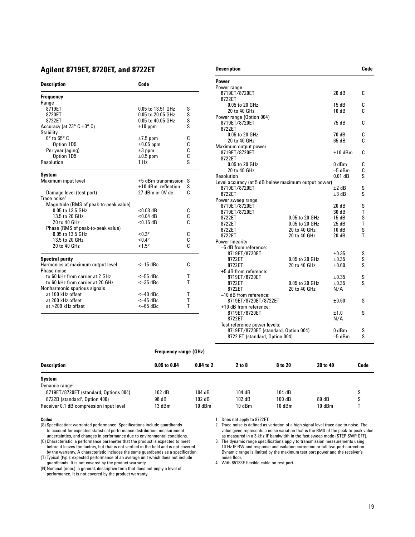# **Agilent 8719ET, 8720ET, and 8722ET**

| <b>Description</b>                         | Code                |    |
|--------------------------------------------|---------------------|----|
| Frequency                                  |                     |    |
| Range                                      |                     |    |
| 8719ET                                     | 0.05 to 13.51 GHz   | S  |
| 8720ET                                     | 0.05 to 20.05 GHz   | S  |
| 8722ET                                     | 0.05 to 40.05 GHz   | S  |
| Accuracy (at $23^\circ$ C $\pm 3^\circ$ C) | $±10$ ppm           | Ś  |
| <b>Stability</b>                           |                     |    |
| $0^\circ$ to $55^\circ$ C                  | $±7.5$ ppm          | C  |
| Option 1D5                                 | $\pm 0.05$ ppm      | C  |
| Per year (aging)                           | $\pm 3$ ppm         | C  |
| Option 1D5                                 | $\pm 0.5$ ppm       | Ċ  |
| Resolution                                 | 1 Hz                | Ś  |
| System                                     |                     |    |
| Maximum input level                        | +5 dBm transmission | S  |
|                                            | +10 dBm reflection  | S  |
| Damage level (test port)                   | 27 dBm or 0V dc     | C  |
| Trace noise $2$                            |                     |    |
| Magnitude (RMS of peak-to-peak value)      |                     |    |
| 0.05 to 13.5 GHz                           | $<$ 0.03 dB         | С  |
| 13.5 to 20 GHz                             | $< 0.04$ dB         | C  |
| 20 to 40 GHz                               | $< 0.15$ dB         | Ċ  |
| Phase (RMS of peak-to-peak value)          |                     |    |
| 0.05 to 13.5 GHz                           | $< 0.3^{\circ}$     | C  |
| 13.5 to 20 GHz                             | $< 0.4$ °           | C  |
| 20 to 40 GHz                               | $< 1.5^{\circ}$     | C  |
| <b>Spectral purity</b>                     |                     |    |
| Harmonics at maximum output level          | $<-15$ dBc          | ſ. |
| Phase noise                                |                     |    |
| to 60 kHz from carrier at 2 GHz            | $<-55$ dBc          | т  |
| to 60 kHz from carrier at 20 GHz           | $<-35$ dBc          | т  |
| Nonharmonic spurious signals               |                     |    |
| at 100 kHz offset                          | $<-40$ dBc          | т  |
| at 200 kHz offset                          | $<-45$ dBc          | T  |
| at >200 kHz offset                         | $<-65$ dBc          | T  |
|                                            |                     |    |

| <b>Power</b>                                        |                |            |        |
|-----------------------------------------------------|----------------|------------|--------|
| Power range                                         |                |            |        |
| 8719ET/8720ET                                       |                | 20dB       | c.     |
| 8722ET                                              |                |            |        |
| 0.05 to 20 GHz                                      |                | 15 dB      | C      |
| 20 to 40 GHz                                        |                | 10dB       | C.     |
| Power range (Option 004)                            |                |            |        |
| 8719ET/8720ET                                       |                | 75 dB      | C      |
| 8722ET                                              |                |            |        |
| 0.05 to 20 GHz                                      |                | 70 dB      | C      |
| 20 to 40 GHz                                        |                | 65 dB      | C      |
| Maximum output power                                |                |            |        |
| 8719ET/8720ET                                       |                | $+10$ dBm  | C      |
| 8722ET                                              |                |            |        |
| 0.05 to 20 GHz                                      |                | $0$ dBm    | C      |
| 20 to 40 GHz                                        |                | $-5$ dBm   | C      |
| Resolution                                          |                | $0.01$ dB  | S      |
| Level accuracy (at 5 dB below maximum output power) |                |            |        |
| 8719ET/8720ET                                       |                | $±2$ dB    |        |
| 8722ET                                              |                | $±3$ dB    |        |
| Power sweep range                                   |                |            |        |
| 8719ET/8720ET                                       |                | 20dB       | S      |
| 8719ET/8720ET                                       |                | 30 dB      | Τ<br>S |
| 8722ET                                              | 0.05 to 20 GHz | 15dB       |        |
| 8722ET                                              | 0.05 to 20 GHz | 25dB       |        |
| 8722ET                                              | 20 to 40 GHz   | 10dB       |        |
| 8722ET                                              | 20 to 40 GHz   | 20 dB      | т      |
| Power linearity                                     |                |            |        |
| -5 dB from reference:                               |                |            |        |
| 8719ET/8720ET                                       |                | ±0.35      | S<br>S |
| 8722ET                                              | 0.05 to 20 GHz | ±0.35      |        |
| 8722ET                                              | 20 to 40 GHz   | ±0.60      |        |
| +5 dB from reference:                               |                |            | S      |
| 8719ET/8720ET                                       |                | $\pm 0.35$ |        |
| 8722ET                                              | 0.05 to 20 GHz | $\pm 0.35$ |        |
| 8722ET                                              | 20 to 40 GHz   | N/A        |        |
| -10 dB from reference:                              |                |            |        |
| 8719ET/8720ET/8722ET                                |                | ±0.60      | S      |
| +10 dB from reference:                              |                |            |        |
| 8719ET/8720ET                                       |                | ±1.0       | S      |
| 8722ET                                              |                | N/A        |        |

**Description Code** 

|                                            |                              |             | 8719ET/8720ET (standard, Option 004)<br>8722 ET (standard, Option 004) |          | $0$ dBm<br>$-5$ dBm | S<br>S |  |  |
|--------------------------------------------|------------------------------|-------------|------------------------------------------------------------------------|----------|---------------------|--------|--|--|
|                                            | <b>Frequency range (GHz)</b> |             |                                                                        |          |                     |        |  |  |
| <b>Description</b>                         | 0.05 to 0.84                 | $0.84$ to 2 | 2 to 8                                                                 | 8 to 20  | 20 to 40            | Code   |  |  |
| System                                     |                              |             |                                                                        |          |                     |        |  |  |
| Dynamic range $3$                          |                              |             |                                                                        |          |                     |        |  |  |
| 8719ET/8720ET (standard, Options 004)      | 102 dB                       | 104 dB      | 104 dB                                                                 | 104 dB   |                     | S      |  |  |
| 8722D (standard <sup>4</sup> , Option 400) | 98 dB                        | 102dB       | 102dB                                                                  | 100 dB   | 89 dB               | S      |  |  |
| Receiver 0.1 dB compression input level    | 13 dBm                       | 10 dBm      | 10dBm                                                                  | $10$ dBm | 10dBm               |        |  |  |

#### **Codes**

(S) Specification: warranted performance. Specifications include guardbands to account for expected statistical performance distribution, measurement uncertainties, and changes in performance due to environmental conditions.

(C) Characteristic: a performance parameter that the product is expected to meet before it leaves the factory, but that is not verified in the field and is not covered by the warranty. A characteristic includes the same guardbands as a specification.

(T) Typical (typ.): expected performance of an average unit which does not include guardbands. It is not covered by the product warranty.

(N)Nominal (nom.): a general, descriptive term that does not imply a level of performance. It is not covered by the product warranty.

1. Does not apply to 8722ET.

Test reference power levels:

2. Trace noise is defined as variation of a high signal level trace due to noise. The value given represents a noise variation that is the RMS of the peak-to-peak value as measured in a 3 kHz IF bandwidth in the fast sweep mode (STEP SWP OFF).

3. The dynamic range specifications apply to transmission measurements using 10 Hz IF BW and response and isolation correction or full two-port correction. Dynamic range is limited by the maximum test port power and the receiver's noise floor.

4. With 85133E flexible cable on test port.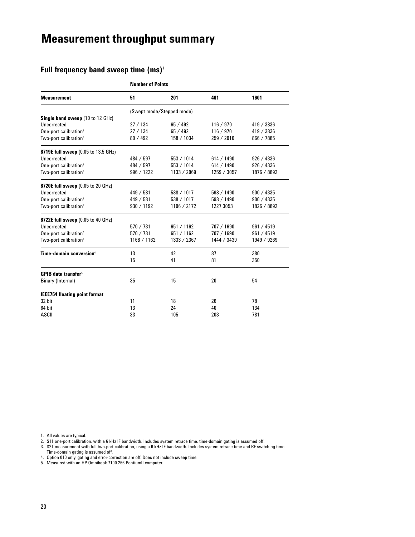# **Measurement throughput summary**

# **Full frequency band sweep time (ms)**<sup>1</sup>

|                                          | <b>Number of Points</b>   |             |             |             |  |  |  |
|------------------------------------------|---------------------------|-------------|-------------|-------------|--|--|--|
| <b>Measurement</b>                       | 51                        | 201         | 401         | 1601        |  |  |  |
|                                          | (Swept mode/Stepped mode) |             |             |             |  |  |  |
| Single band sweep (10 to 12 GHz)         |                           |             |             |             |  |  |  |
| Uncorrected                              | 27/134                    | 65/492      | 116 / 970   | 419 / 3836  |  |  |  |
| One-port calibration <sup>2</sup>        | 27/134                    | 65/492      | 116 / 970   | 419 / 3836  |  |  |  |
| Two-port calibration <sup>3</sup>        | 80 / 492                  | 158 / 1034  | 259 / 2010  | 866 / 7885  |  |  |  |
| 8719E full sweep (0.05 to 13.5 GHz)      |                           |             |             |             |  |  |  |
| Uncorrected                              | 484 / 597                 | 553 / 1014  | 614 / 1490  | 926 / 4336  |  |  |  |
| One-port calibration <sup>2</sup>        | 484 / 597                 | 553 / 1014  | 614 / 1490  | 926 / 4336  |  |  |  |
| Two-port calibration <sup>3</sup>        | 996 / 1222                | 1133 / 2069 | 1259 / 3057 | 1876 / 8892 |  |  |  |
| <b>8720E full sweep</b> (0.05 to 20 GHz) |                           |             |             |             |  |  |  |
| Uncorrected                              | 449 / 581                 | 538 / 1017  | 598 / 1490  | 900 / 4335  |  |  |  |
| One-port calibration <sup>2</sup>        | 449 / 581                 | 538 / 1017  | 598 / 1490  | 900 / 4335  |  |  |  |
| Two-port calibration <sup>3</sup>        | 930 / 1192                | 1106 / 2172 | 1227 3053   | 1826 / 8892 |  |  |  |
| <b>8722E full sweep</b> (0.05 to 40 GHz) |                           |             |             |             |  |  |  |
| Uncorrected                              | 570 / 731                 | 651 / 1162  | 707 / 1690  | 961 / 4519  |  |  |  |
| One-port calibration <sup>2</sup>        | 570 / 731                 | 651 / 1162  | 707 / 1690  | 961 / 4519  |  |  |  |
| Two-port calibration <sup>3</sup>        | 1168 / 1162               | 1333 / 2367 | 1444 / 3439 | 1949 / 9269 |  |  |  |
| Time-domain conversion <sup>4</sup>      | 13                        | 42          | 87          | 380         |  |  |  |
|                                          | 15                        | 41          | 81          | 350         |  |  |  |
| <b>GPIB data transfer<sup>5</sup></b>    |                           |             |             |             |  |  |  |
| Binary (Internal)                        | 35                        | 15          | 20          | 54          |  |  |  |
| <b>IEEE754 floating point format</b>     |                           |             |             |             |  |  |  |
| 32 bit                                   | 11                        | 18          | 26          | 78          |  |  |  |
| 64 bit                                   | 13                        | 24          | 40          | 134         |  |  |  |
| <b>ASCII</b>                             | 33                        | 105         | 203         | 781         |  |  |  |

1. All values are typical.

2. S11 one-port calibration, with a 6 kHz IF bandwidth. Includes system retrace time. time-domain gating is assumed off.

3. S21 measurement with full two-port calibration, using a 6 kHz IF bandwidth. Includes system retrace time and RF switching time. Time-domain gating is assumed off.

4. Option 010 only, gating and error-correction are off. Does not include sweep time.

5. Measured with an HP Omnibook 7100 266 PentiumII computer.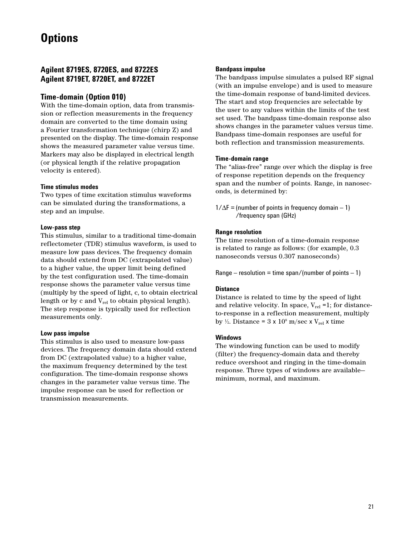# **Options**

# **Agilent 8719ES, 8720ES, and 8722ES Agilent 8719ET, 8720ET, and 8722ET**

# **Time-domain (Option 010)**

With the time-domain option, data from transmission or reflection measurements in the frequency domain are converted to the time domain using a Fourier transformation technique (chirp Z) and presented on the display. The time-domain response shows the measured parameter value versus time. Markers may also be displayed in electrical length (or physical length if the relative propagation velocity is entered).

#### **Time stimulus modes**

Two types of time excitation stimulus waveforms can be simulated during the transformations, a step and an impulse.

#### **Low-pass step**

This stimulus, similar to a traditional time-domain reflectometer (TDR) stimulus waveform, is used to measure low pass devices. The frequency domain data should extend from DC (extrapolated value) to a higher value, the upper limit being defined by the test configuration used. The time-domain response shows the parameter value versus time (multiply by the speed of light, c, to obtain electrical length or by c and  $V_{rel}$  to obtain physical length). The step response is typically used for reflection measurements only.

#### **Low pass impulse**

This stimulus is also used to measure low-pass devices. The frequency domain data should extend from DC (extrapolated value) to a higher value, the maximum frequency determined by the test configuration. The time-domain response shows changes in the parameter value versus time. The impulse response can be used for reflection or transmission measurements.

### **Bandpass impulse**

The bandpass impulse simulates a pulsed RF signal (with an impulse envelope) and is used to measure the time-domain response of band-limited devices. The start and stop frequencies are selectable by the user to any values within the limits of the test set used. The bandpass time-domain response also shows changes in the parameter values versus time. Bandpass time-domain responses are useful for both reflection and transmission measurements.

#### **Time-domain range**

The "alias-free" range over which the display is free of response repetition depends on the frequency span and the number of points. Range, in nanoseconds, is determined by:

 $1/\Delta F$  = (number of points in frequency domain – 1) /frequency span (GHz)

#### **Range resolution**

The time resolution of a time-domain response is related to range as follows: (for example, 0.3 nanoseconds versus 0.307 nanoseconds)

Range – resolution = time span/(number of points  $-1$ )

#### **Distance**

Distance is related to time by the speed of light and relative velocity. In space,  $V_{rel} = 1$ ; for distanceto-response in a reflection measurement, multiply by ½. Distance =  $3 \times 10^8$  m/sec x V<sub>rel</sub> x time

#### **Windows**

The windowing function can be used to modify (filter) the frequency-domain data and thereby reduce overshoot and ringing in the time-domain response. Three types of windows are available minimum, normal, and maximum.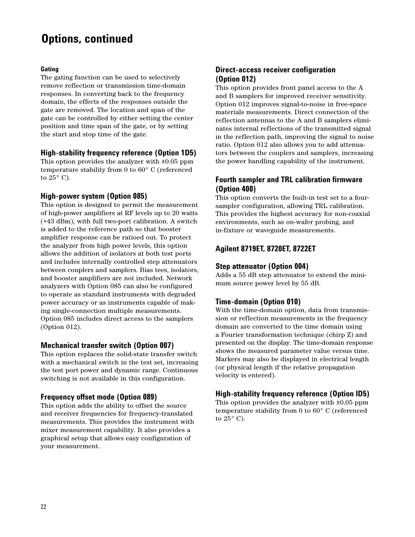# **Options, continued**

### **Gating**

The gating function can be used to selectively remove reflection or transmission time-domain responses. In converting back to the frequency domain, the effects of the responses outside the gate are removed. The location and span of the gate can be controlled by either setting the center position and time span of the gate, or by setting the start and stop time of the gate.

# **High-stability frequency reference (Option 1D5)**

This option provides the analyzer with ±0.05 ppm temperature stability from 0 to 60° C (referenced to 25° C).

# **High-power system (Option 085)**

This option is designed to permit the measurement of high-power amplifiers at RF levels up to 20 watts (+43 dBm), with full two-port calibration. A switch is added to the reference path so that booster amplifier response can be ratioed out. To protect the analyzer from high power levels, this option allows the addition of isolators at both test ports and includes internally controlled step attenuators between couplers and samplers. Bias tees, isolators, and booster amplifiers are not included. Network analyzers with Option 085 can also be configured to operate as standard instruments with degraded power accuracy or as instruments capable of making single-connection multiple measurements. Option 085 includes direct access to the samplers (Option 012).

# **Mechanical transfer switch (Option 007)**

This option replaces the solid-state transfer switch with a mechanical switch in the test set, increasing the test port power and dynamic range. Continuous switching is not available in this configuration.

# **Frequency offset mode (Option 089)**

This option adds the ability to offset the source and receiver frequencies for frequency-translated measurements. This provides the instrument with mixer measurement capability. It also provides a graphical setup that allows easy configuration of your measurement.

# **Direct-access receiver configuration (Option 012)**

This option provides front panel access to the A and B samplers for improved receiver sensitivity. Option 012 improves signal-to-noise in free-space materials measurements. Direct connection of the reflection antennas to the A and B samplers eliminates internal reflections of the transmitted signal in the reflection path, improving the signal to noise ratio. Option 012 also allows you to add attenuators between the couplers and samplers, increasing the power handling capability of the instrument.

# **Fourth sampler and TRL calibration firmware (Option 400)**

This option converts the built-in test set to a foursampler configuration, allowing TRL calibration. This provides the highest accuracy for non-coaxial environments, such as on-wafer probing, and in-fixture or waveguide measurements.

# **Agilent 8719ET, 8720ET, 8722ET**

# **Step attenuator (Option 004)**

Adds a 55 dB step attenuator to extend the minimum source power level by 55 dB.

# **Time-domain (Option 010)**

With the time-domain option, data from transmission or reflection measurements in the frequency domain are converted to the time domain using a Fourier transformation technique (chirp Z) and presented on the display. The time-domain response shows the measured parameter value versus time. Markers may also be displayed in electrical length (or physical length if the relative propagation velocity is entered).

# **High-stability frequency reference (Option lD5)**

This option provides the analyzer with ±0.05 ppm temperature stability from 0 to 60° C (referenced to 25° C).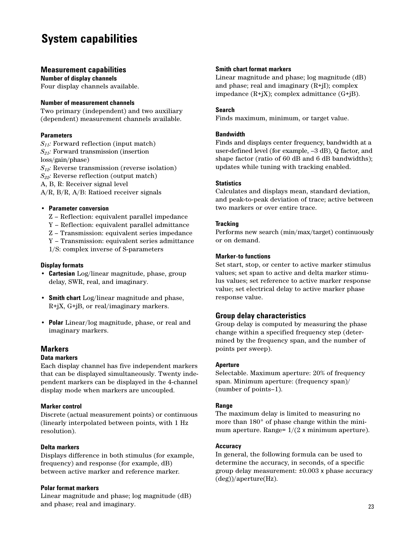# **System capabilities**

### **Measurement capabilities**

**Number of display channels** Four display channels available.

#### **Number of measurement channels**

Two primary (independent) and two auxiliary (dependent) measurement channels available.

### **Parameters**

*S11:* Forward reflection (input match) *S21:* Forward transmission (insertion loss/gain/phase) *S12:* Reverse transmission (reverse isolation) *S22:* Reverse reflection (output match) A, B, R: Receiver signal level A/R, B/R, A/B: Ratioed receiver signals

#### • **Parameter conversion**

- Z Reflection: equivalent parallel impedance
- Y Reflection: equivalent parallel admittance
- Z Transmission: equivalent series impedance
- Y Transmission: equivalent series admittance
- 1/S: complex inverse of S-parameters

#### **Display formats**

- **Cartesian** Log/linear magnitude, phase, group delay, SWR, real, and imaginary.
- **Smith chart** Log/linear magnitude and phase, R+jX, G+jB, or real/imaginary markers.
- **Polar** Linear/log magnitude, phase, or real and imaginary markers.

# **Markers**

### **Data markers**

Each display channel has five independent markers that can be displayed simultaneously. Twenty independent markers can be displayed in the 4-channel display mode when markers are uncoupled.

### **Marker control**

Discrete (actual measurement points) or continuous (linearly interpolated between points, with 1 Hz resolution).

### **Delta markers**

Displays difference in both stimulus (for example, frequency) and response (for example, dB) between active marker and reference marker.

### **Polar format markers**

Linear magnitude and phase; log magnitude (dB) and phase; real and imaginary.

#### **Smith chart format markers**

Linear magnitude and phase; log magnitude (dB) and phase; real and imaginary (R+jI); complex impedance  $(R+jX)$ ; complex admittance  $(G+jB)$ .

#### **Search**

Finds maximum, minimum, or target value.

### **Bandwidth**

Finds and displays center frequency, bandwidth at a user-defined level (for example, –3 dB), Q factor, and shape factor (ratio of 60 dB and 6 dB bandwidths); updates while tuning with tracking enabled.

### **Statistics**

Calculates and displays mean, standard deviation, and peak-to-peak deviation of trace; active between two markers or over entire trace.

#### **Tracking**

Performs new search (min/max/target) continuously or on demand.

#### **Marker-to functions**

Set start, stop, or center to active marker stimulus values; set span to active and delta marker stimulus values; set reference to active marker response value; set electrical delay to active marker phase response value.

### **Group delay characteristics**

Group delay is computed by measuring the phase change within a specified frequency step (determined by the frequency span, and the number of points per sweep).

#### **Aperture**

Selectable. Maximum aperture: 20% of frequency span. Minimum aperture: (frequency span)/ (number of points–1).

### **Range**

The maximum delay is limited to measuring no more than 180° of phase change within the minimum aperture. Range=  $1/(2 \times \text{minimum aperture}).$ 

#### **Accuracy**

In general, the following formula can be used to determine the accuracy, in seconds, of a specific group delay measurement: ±0.003 x phase accuracy (deg))/aperture(Hz).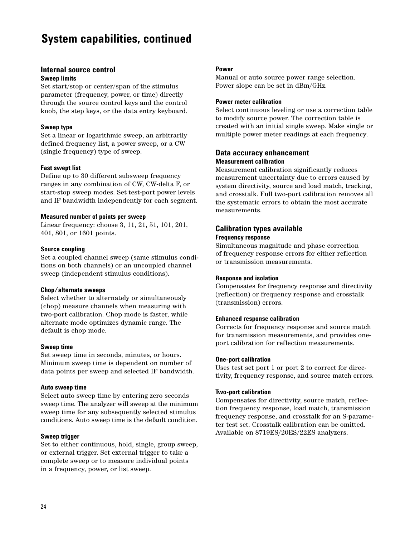# **System capabilities, continued**

# **Internal source control**

#### **Sweep limits**

Set start/stop or center/span of the stimulus parameter (frequency, power, or time) directly through the source control keys and the control knob, the step keys, or the data entry keyboard.

#### **Sweep type**

Set a linear or logarithmic sweep, an arbitrarily defined frequency list, a power sweep, or a CW (single frequency) type of sweep.

#### **Fast swept list**

Define up to 30 different subsweep frequency ranges in any combination of CW, CW-delta F, or start-stop sweep modes. Set test-port power levels and IF bandwidth independently for each segment.

#### **Measured number of points per sweep**

Linear frequency: choose 3, 11, 21, 51, 101, 201, 401, 801, or 1601 points.

#### **Source coupling**

Set a coupled channel sweep (same stimulus conditions on both channels) or an uncoupled channel sweep (independent stimulus conditions).

#### **Chop/alternate sweeps**

Select whether to alternately or simultaneously (chop) measure channels when measuring with two-port calibration. Chop mode is faster, while alternate mode optimizes dynamic range. The default is chop mode.

#### **Sweep time**

Set sweep time in seconds, minutes, or hours. Minimum sweep time is dependent on number of data points per sweep and selected IF bandwidth.

### **Auto sweep time**

Select auto sweep time by entering zero seconds sweep time. The analyzer will sweep at the minimum sweep time for any subsequently selected stimulus conditions. Auto sweep time is the default condition.

### **Sweep trigger**

Set to either continuous, hold, single, group sweep, or external trigger. Set external trigger to take a complete sweep or to measure individual points in a frequency, power, or list sweep.

#### **Power**

Manual or auto source power range selection. Power slope can be set in dBm/GHz.

#### **Power meter calibration**

Select continuous leveling or use a correction table to modify source power. The correction table is created with an initial single sweep. Make single or multiple power meter readings at each frequency.

### **Data accuracy enhancement Measurement calibration**

Measurement calibration significantly reduces measurement uncertainty due to errors caused by system directivity, source and load match, tracking, and crosstalk. Full two-port calibration removes all the systematic errors to obtain the most accurate measurements.

# **Calibration types available Frequency response**

Simultaneous magnitude and phase correction of frequency response errors for either reflection or transmission measurements.

### **Response and isolation**

Compensates for frequency response and directivity (reflection) or frequency response and crosstalk (transmission) errors.

### **Enhanced response calibration**

Corrects for frequency response and source match for transmission measurements, and provides oneport calibration for reflection measurements.

#### **One-port calibration**

Uses test set port 1 or port 2 to correct for directivity, frequency response, and source match errors.

#### **Two-port calibration**

Compensates for directivity, source match, reflection frequency response, load match, transmission frequency response, and crosstalk for an S-parameter test set. Crosstalk calibration can be omitted. Available on 8719ES/20ES/22ES analyzers.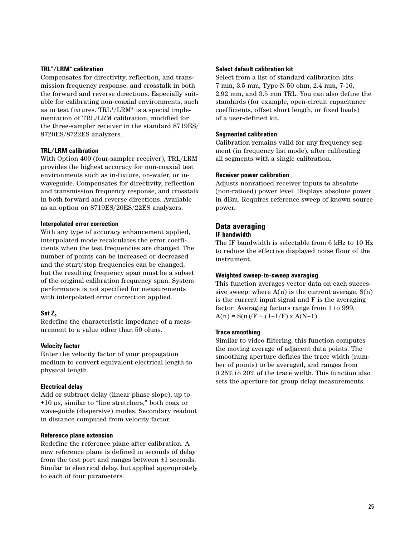#### **TRL\*/LRM\* calibration**

Compensates for directivity, reflection, and transmission frequency response, and crosstalk in both the forward and reverse directions. Especially suitable for calibrating non-coaxial environments, such as in test fixtures. TRL\*/LRM\* is a special implementation of TRL/LRM calibration, modified for the three-sampler receiver in the standard 8719ES/ 8720ES/8722ES analyzers.

#### **TRL/LRM calibration**

With Option 400 (four-sampler receiver), TRL/LRM provides the highest accuracy for non-coaxial test environments such as in-fixture, on-wafer, or inwaveguide. Compensates for directivity, reflection and transmission frequency response, and crosstalk in both forward and reverse directions. Available as an option on 8719ES/20ES/22ES analyzers.

#### **Interpolated error correction**

With any type of accuracy enhancement applied, interpolated mode recalculates the error coefficients when the test frequencies are changed. The number of points can be increased or decreased and the start/stop frequencies can be changed, but the resulting frequency span must be a subset of the original calibration frequency span. System performance is not specified for measurements with interpolated error correction applied.

### **Set Zo**

Redefine the characteristic impedance of a measurement to a value other than 50 ohms.

#### **Velocity factor**

Enter the velocity factor of your propagation medium to convert equivalent electrical length to physical length.

#### **Electrical delay**

Add or subtract delay (linear phase slope), up to +10 µs, similar to "line stretchers," both coax or wave-guide (dispersive) modes. Secondary readout in distance computed from velocity factor.

#### **Reference plane extension**

Redefine the reference plane after calibration. A new reference plane is defined in seconds of delay from the test port and ranges between ±1 seconds. Similar to electrical delay, but applied appropriately to each of four parameters.

#### **Select default calibration kit**

Select from a list of standard calibration kits: 7 mm, 3.5 mm, Type-N 50 ohm, 2.4 mm, 7-16, 2.92 mm, and 3.5 mm TRL. You can also define the standards (for example, open-circuit capacitance coefficients, offset short length, or fixed loads) of a user-defined kit.

#### **Segmented calibration**

Calibration remains valid for any frequency segment (in frequency list mode), after calibrating all segments with a single calibration.

#### **Receiver power calibration**

Adjusts nonratioed receiver inputs to absolute (non-ratioed) power level. Displays absolute power in dBm. Requires reference sweep of known source power.

#### **Data averaging IF bandwidth**

The IF bandwidth is selectable from 6 kHz to 10 Hz to reduce the effective displayed noise floor of the instrument.

#### **Weighted sweep-to-sweep averaging**

This function averages vector data on each successive sweep: where  $A(n)$  is the current average,  $S(n)$ is the current input signal and F is the averaging factor. Averaging factors range from 1 to 999.  $A(n) = S(n)/F + (1-1/F) \times A(N-1)$ 

#### **Trace smoothing**

Similar to video filtering, this function computes the moving average of adjacent data points. The smoothing aperture defines the trace width (number of points) to be averaged, and ranges from 0.25% to 20% of the trace width. This function also sets the aperture for group delay measurements.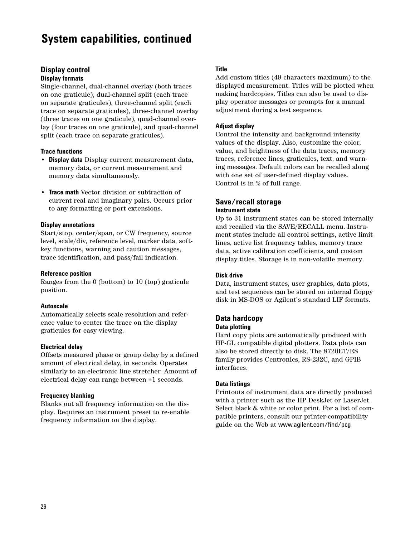# **System capabilities, continued**

# **Display control**

### **Display formats**

Single-channel, dual-channel overlay (both traces on one graticule), dual-channel split (each trace on separate graticules), three-channel split (each trace on separate graticules), three-channel overlay (three traces on one graticule), quad-channel overlay (four traces on one graticule), and quad-channel split (each trace on separate graticules).

#### **Trace functions**

- **Display data** Display current measurement data, memory data, or current measurement and memory data simultaneously.
- **Trace math** Vector division or subtraction of current real and imaginary pairs. Occurs prior to any formatting or port extensions.

#### **Display annotations**

Start/stop, center/span, or CW frequency, source level, scale/div, reference level, marker data, softkey functions, warning and caution messages, trace identification, and pass/fail indication.

#### **Reference position**

Ranges from the 0 (bottom) to 10 (top) graticule position.

#### **Autoscale**

Automatically selects scale resolution and reference value to center the trace on the display graticules for easy viewing.

#### **Electrical delay**

Offsets measured phase or group delay by a defined amount of electrical delay, in seconds. Operates similarly to an electronic line stretcher. Amount of electrical delay can range between ±1 seconds.

#### **Frequency blanking**

Blanks out all frequency information on the display. Requires an instrument preset to re-enable frequency information on the display.

#### **Title**

Add custom titles (49 characters maximum) to the displayed measurement. Titles will be plotted when making hardcopies. Titles can also be used to display operator messages or prompts for a manual adjustment during a test sequence.

#### **Adjust display**

Control the intensity and background intensity values of the display. Also, customize the color, value, and brightness of the data traces, memory traces, reference lines, graticules, text, and warning messages. Default colors can be recalled along with one set of user-defined display values. Control is in % of full range.

#### **Save/recall storage Instrument state**

Up to 31 instrument states can be stored internally and recalled via the SAVE/RECALL menu. Instrument states include all control settings, active limit lines, active list frequency tables, memory trace data, active calibration coefficients, and custom display titles. Storage is in non-volatile memory.

#### **Disk drive**

Data, instrument states, user graphics, data plots, and test sequences can be stored on internal floppy disk in MS-DOS or Agilent's standard LIF formats.

#### **Data hardcopy Data plotting**

Hard copy plots are automatically produced with HP-GL compatible digital plotters. Data plots can also be stored directly to disk. The 8720ET/ES family provides Centronics, RS-232C, and GPIB interfaces.

#### **Data listings**

Printouts of instrument data are directly produced with a printer such as the HP DeskJet or LaserJet. Select black & white or color print. For a list of compatible printers, consult our printer-compatibility guide on the Web at www.agilent.com/find/pcg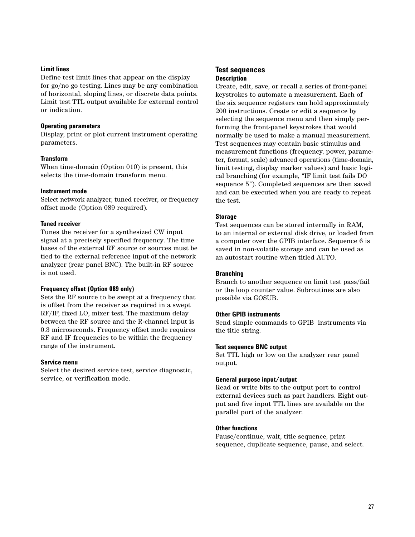#### **Limit lines**

Define test limit lines that appear on the display for go/no go testing. Lines may be any combination of horizontal, sloping lines, or discrete data points. Limit test TTL output available for external control or indication.

#### **Operating parameters**

Display, print or plot current instrument operating parameters.

#### **Transform**

When time-domain (Option 010) is present, this selects the time-domain transform menu.

#### **Instrument mode**

Select network analyzer, tuned receiver, or frequency offset mode (Option 089 required).

#### **Tuned receiver**

Tunes the receiver for a synthesized CW input signal at a precisely specified frequency. The time bases of the external RF source or sources must be tied to the external reference input of the network analyzer (rear panel BNC). The built-in RF source is not used.

### **Frequency offset (Option 089 only)**

Sets the RF source to be swept at a frequency that is offset from the receiver as required in a swept RF/IF, fixed LO, mixer test. The maximum delay between the RF source and the R-channel input is 0.3 microseconds. Frequency offset mode requires RF and IF frequencies to be within the frequency range of the instrument.

### **Service menu**

Select the desired service test, service diagnostic, service, or verification mode.

### **Test sequences Description**

Create, edit, save, or recall a series of front-panel keystrokes to automate a measurement. Each of the six sequence registers can hold approximately 200 instructions. Create or edit a sequence by selecting the sequence menu and then simply performing the front-panel keystrokes that would normally be used to make a manual measurement. Test sequences may contain basic stimulus and measurement functions (frequency, power, parameter, format, scale) advanced operations (time-domain, limit testing, display marker values) and basic logical branching (for example, "IF limit test fails DO sequence 5"). Completed sequences are then saved and can be executed when you are ready to repeat the test.

### **Storage**

Test sequences can be stored internally in RAM, to an internal or external disk drive, or loaded from a computer over the GPIB interface. Sequence 6 is saved in non-volatile storage and can be used as an autostart routine when titled AUTO.

### **Branching**

Branch to another sequence on limit test pass/fail or the loop counter value. Subroutines are also possible via GOSUB.

### **Other GPIB instruments**

Send simple commands to GPIB instruments via the title string.

### **Test sequence BNC output**

Set TTL high or low on the analyzer rear panel output.

### **General purpose input/output**

Read or write bits to the output port to control external devices such as part handlers. Eight output and five input TTL lines are available on the parallel port of the analyzer.

#### **Other functions**

Pause/continue, wait, title sequence, print sequence, duplicate sequence, pause, and select.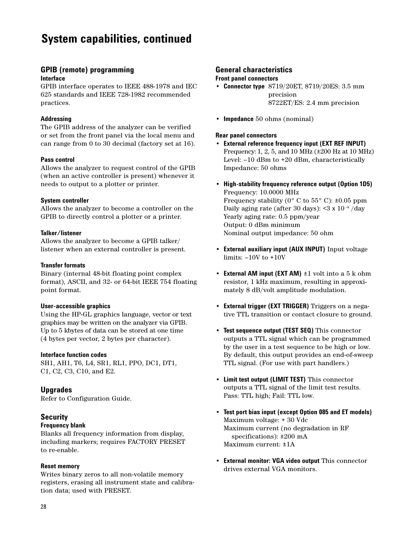# **System capabilities, continued**

# **GPIB (remote) programming**

### **Interface**

GPIB interface operates to IEEE 488-1978 and IEC 625 standards and IEEE 728-1982 recommended practices.

### **Addressing**

The GPIB address of the analyzer can be verified or set from the front panel via the local menu and can range from 0 to 30 decimal (factory set at 16).

### **Pass control**

Allows the analyzer to request control of the GPIB (when an active controller is present) whenever it needs to output to a plotter or printer.

### **System controller**

Allows the analyzer to become a controller on the GPIB to directly control a plotter or a printer.

### **Talker/listener**

Allows the analyzer to become a GPIB talker/ listener when an external controller is present.

#### **Transfer formats**

Binary (internal 48-bit floating point complex format), ASCII, and 32- or 64-bit IEEE 754 floating point format.

### **User-accessible graphics**

Using the HP-GL graphics language, vector or text graphics may be written on the analyzer via GPIB. Up to 5 kbytes of data can be stored at one time (4 bytes per vector, 2 bytes per character).

#### **Interface function codes**

SH1, AH1, T6, L4, SR1, RL1, PPO, DC1, DT1, C1, C2, C3, C10, and E2.

### **Upgrades**

Refer to Configuration Guide.

# **Security**

### **Frequency blank**

Blanks all frequency information from display, including markers; requires FACTORY PRESET to re-enable.

### **Reset memory**

Writes binary zeros to all non-volatile memory registers, erasing all instrument state and calibration data; used with PRESET.

### **General characteristics**

#### **Front panel connectors**

- **Connector type** 8719/20ET, 8719/20ES: 3.5 mm precision 8722ET/ES: 2.4 mm precision
- **Impedance** 50 ohms (nominal)

#### **Rear panel connectors**

- **External reference frequency input (EXT REF INPUT)** Frequency: 1, 2, 5, and 10 MHz (±200 Hz at 10 MHz) Level: –10 dBm to +20 dBm, characteristically Impedance: 50 ohms
- **High-stability frequency reference output (Option 1D5)** Frequency: 10.0000 MHz Frequency stability ( $0^{\circ}$  C to  $55^{\circ}$  C): ±0.05 ppm Daily aging rate (after 30 days): <3 x 10 –9 /day Yearly aging rate: 0.5 ppm/year Output: 0 dBm minimum Nominal output impedance: 50 ohm
- **External auxiliary input (AUX INPUT)** Input voltage limits: –10V to +10V
- **External AM input (EXT AM)** ±1 volt into a 5 k ohm resistor, 1 kHz maximum, resulting in approximately 8 dB/volt amplitude modulation.
- **External trigger (EXT TRIGGER)** Triggers on a negative TTL transition or contact closure to ground.
- **Test sequence output (TEST SEQ)** This connector outputs a TTL signal which can be programmed by the user in a test sequence to be high or low. By default, this output provides an end-of-sweep TTL signal. (For use with part handlers.)
- **Limit test output (LIMIT TEST)** This connector outputs a TTL signal of the limit test results. Pass: TTL high; Fail: TTL low.
- **Test port bias input (except Option 085 and ET models)** Maximum voltage: + 30 Vdc Maximum current (no degradation in RF specifications): ±200 mA Maximum current: ±1A
- **External monitor: VGA video output** This connector drives external VGA monitors.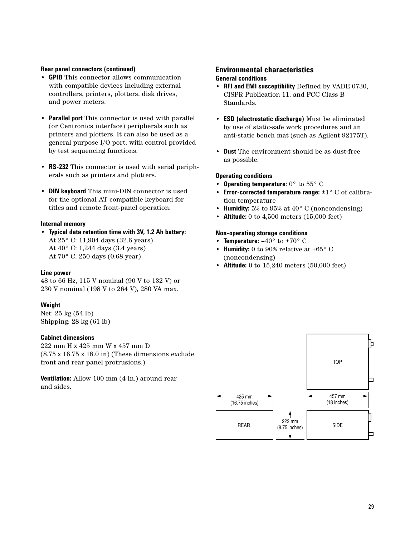#### **Rear panel connectors (continued)**

- **GPIB** This connector allows communication with compatible devices including external controllers, printers, plotters, disk drives, and power meters.
- **Parallel port** This connector is used with parallel (or Centronics interface) peripherals such as printers and plotters. It can also be used as a general purpose I/O port, with control provided by test sequencing functions.
- **RS-232** This connector is used with serial peripherals such as printers and plotters.
- **DIN keyboard** This mini-DIN connector is used for the optional AT compatible keyboard for titles and remote front-panel operation.

#### **Internal memory**

• **Typical data retention time with 3V, 1.2 Ah battery:** At 25° C: 11,904 days (32.6 years) At 40° C: 1,244 days (3.4 years) At 70° C: 250 days (0.68 year)

#### **Line power**

48 to 66 Hz, 115 V nominal (90 V to 132 V) or 230 V nominal (198 V to 264 V), 280 VA max.

### **Weight**

Net: 25 kg (54 lb) Shipping: 28 kg (61 lb)

#### **Cabinet dimensions**

222 mm H x 425 mm W x 457 mm D (8.75 x 16.75 x 18.0 in) (These dimensions exclude front and rear panel protrusions.)

**Ventilation:** Allow 100 mm (4 in.) around rear and sides.

#### **Environmental characteristics General conditions**

- **RFI and EMI susceptibility** Defined by VADE 0730, CISPR Publication 11, and FCC Class B Standards.
- **ESD (electrostatic discharge)** Must be eliminated by use of static-safe work procedures and an anti-static bench mat (such as Agilent 92175T).
- **Dust** The environment should be as dust-free as possible.

#### **Operating conditions**

- **Operating temperature:** 0° to 55° C
- **Error-corrected temperature range:** ±1° C of calibration temperature
- **Humidity:** 5% to 95% at 40° C (noncondensing)
- **Altitude:** 0 to 4,500 meters (15,000 feet)

#### **Non-operating storage conditions**

- **Temperature:**  $-40^{\circ}$  to  $+70^{\circ}$  C
- **Humidity:** 0 to 90% relative at +65° C (noncondensing)
- **Altitude:** 0 to 15,240 meters (50,000 feet)

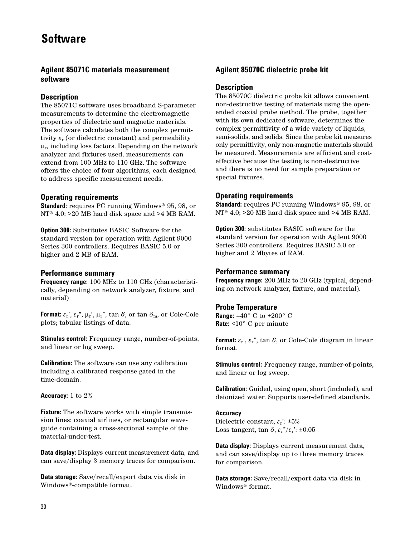# **Software**

# **Agilent 85071C materials measurement software**

# **Description**

The 85071C software uses broadband S-parameter measurements to determine the electromagnetic properties of dielectric and magnetic materials. The software calculates both the complex permittivity  $\varepsilon_r$  (or dielectric constant) and permeability  $\mu_r$ , including loss factors. Depending on the network analyzer and fixtures used, measurements can extend from 100 MHz to 110 GHz. The software offers the choice of four algorithms, each designed to address specific measurement needs.

# **Operating requirements**

**Standard:** requires PC running Windows® 95, 98, or NT® 4.0; >20 MB hard disk space and >4 MB RAM.

**Option 300:** Substitutes BASIC Software for the standard version for operation with Agilent 9000 Series 300 controllers. Requires BASIC 5.0 or higher and 2 MB of RAM.

# **Performance summary**

**Frequency range:** 100 MHz to 110 GHz (characteristically, depending on network analyzer, fixture, and material)

**Format:**  $\varepsilon$ <sub>r</sub>',  $\varepsilon$ <sub>r</sub>",  $\mu$ <sub>r</sub>',  $\mu$ <sub>r</sub>",  $\tan \delta$ , or  $\tan \delta$ <sub>m</sub>, or Cole-Cole plots; tabular listings of data.

**Stimulus control:** Frequency range, number-of-points, and linear or log sweep.

**Calibration:** The software can use any calibration including a calibrated response gated in the time-domain.

**Accuracy:** 1 to 2%

**Fixture:** The software works with simple transmission lines: coaxial airlines, or rectangular waveguide containing a cross-sectional sample of the material-under-test.

**Data display:** Displays current measurement data, and can save/display 3 memory traces for comparison.

**Data storage:** Save/recall/export data via disk in Windows®-compatible format.

# **Agilent 85070C dielectric probe kit**

### **Description**

The 85070C dielectric probe kit allows convenient non-destructive testing of materials using the openended coaxial probe method. The probe, together with its own dedicated software, determines the complex permittivity of a wide variety of liquids, semi-solids, and solids. Since the probe kit measures only permittivity, only non-magnetic materials should be measured. Measurements are efficient and costeffective because the testing is non-destructive and there is no need for sample preparation or special fixtures.

# **Operating requirements**

**Standard:** requires PC running Windows® 95, 98, or NT® 4.0; >20 MB hard disk space and >4 MB RAM.

**Option 300:** substitutes BASIC software for the standard version for operation with Agilent 9000 Series 300 controllers. Requires BASIC 5.0 or higher and 2 Mbytes of RAM.

### **Performance summary**

**Frequency range:** 200 MHz to 20 GHz (typical, depending on network analyzer, fixture, and material).

# **Probe Temperature**

**Range:** –40° C to +200° C **Rate:** <10° C per minute

**Format:**  $\varepsilon_r$ ,  $\varepsilon_r$ ,  $\epsilon_r$ ,  $\tan \delta$ , or Cole-Cole diagram in linear format.

**Stimulus control:** Frequency range, number-of-points, and linear or log sweep.

**Calibration:** Guided, using open, short (included), and deionized water. Supports user-defined standards.

### **Accuracy**

Dielectric constant,  $\varepsilon$ <sup>r</sup>: ±5% Loss tangent, tan  $\delta$ ,  $\varepsilon_r$ "/ $\varepsilon_r$ ": ±0.05

**Data display:** Displays current measurement data, and can save/display up to three memory traces for comparison.

**Data storage:** Save/recall/export data via disk in Windows® format.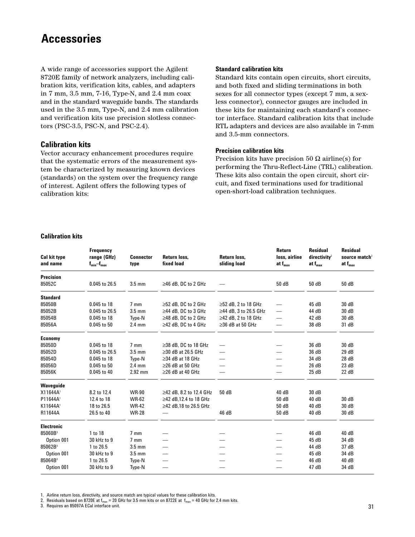# **Accessories**

A wide range of accessories support the Agilent 8720E family of network analyzers, including calibration kits, verification kits, cables, and adapters in 7 mm, 3.5 mm, 7-16, Type-N, and 2.4 mm coax and in the standard waveguide bands. The standards used in the 3.5 mm, Type-N, and 2.4 mm calibration and verification kits use precision slotless connectors (PSC-3.5, PSC-N, and PSC-2.4).

### **Calibration kits**

Vector accuracy enhancement procedures require that the systematic errors of the measurement system be characterized by measuring known devices (standards) on the system over the frequency range of interest. Agilent offers the following types of calibration kits:

#### **Standard calibration kits**

Standard kits contain open circuits, short circuits, and both fixed and sliding terminations in both sexes for all connector types (except 7 mm, a sexless connector), connector gauges are included in these kits for maintaining each standard's connector interface. Standard calibration kits that include RTL adapters and devices are also available in 7-mm and 3.5-mm connectors.

#### **Precision calibration kits**

Precision kits have precision 50  $\Omega$  airline(s) for performing the Thru-Reflect-Line (TRL) calibration. These kits also contain the open circuit, short circuit, and fixed terminations used for traditional open-short-load calibration techniques.

#### **Calibration kits**

| <b>Cal kit type</b><br>and name | <b>Frequency</b><br>range (GHz)<br>$f_{min} - f_{max}$ | <b>Connector</b><br>type | Return loss,<br>fixed load | Return loss.<br>sliding load | Return<br>loss, airline<br>at $f_{\text{max}}$ | <b>Residual</b><br>directivity <sup>2</sup><br>at $f_{\text{max}}$ | <b>Residual</b><br>source match <sup>2</sup><br>at $f_{\text{max}}$ |
|---------------------------------|--------------------------------------------------------|--------------------------|----------------------------|------------------------------|------------------------------------------------|--------------------------------------------------------------------|---------------------------------------------------------------------|
| <b>Precision</b>                |                                                        |                          |                            |                              |                                                |                                                                    |                                                                     |
| 85052C                          | 0.045 to 26.5                                          | $3.5 \text{ mm}$         | $\geq$ 46 dB. DC to 2 GHz  |                              | 50 dB                                          | 50 dB                                                              | 50 dB                                                               |
| <b>Standard</b>                 |                                                        |                          |                            |                              |                                                |                                                                    |                                                                     |
| 85050B                          | 0.045 to 18                                            | $7 \text{ mm}$           | $\geq$ 52 dB. DC to 2 GHz  | ≥52 dB. 2 to 18 GHz          |                                                | 45 dB                                                              | 30 dB                                                               |
| 85052B                          | 0.045 to 26.5                                          | $3.5 \text{ mm}$         | $\geq$ 44 dB, DC to 3 GHz  | ≥44 dB, 3 to 26.5 GHz        | —                                              | 44 dB                                                              | 30 dB                                                               |
| 85054B                          | 0.045 to 18                                            | Type-N                   | $\geq$ 48 dB, DC to 2 GHz  | ≥42 dB, 2 to 18 GHz          |                                                | 42 dB                                                              | 30 dB                                                               |
| 85056A                          | 0.045 to 50                                            | 2.4 mm                   | $\geq$ 42 dB, DC to 4 GHz  | $\geq$ 36 dB at 50 GHz       | $\overline{\phantom{0}}$                       | 38 dB                                                              | 31 dB                                                               |
| <b>Economy</b>                  |                                                        |                          |                            |                              |                                                |                                                                    |                                                                     |
| 85050D                          | 0.045 to 18                                            | $7 \text{ mm}$           | $\geq$ 38 dB, DC to 18 GHz |                              |                                                | 36 dB                                                              | 30 dB                                                               |
| 85052D                          | 0.045 to 26.5                                          | $3.5 \text{ mm}$         | $\geq$ 30 dB at 26.5 GHz   |                              |                                                | 36 dB                                                              | 29 dB                                                               |
| 85054D                          | 0.045 to 18                                            | Type-N                   | $\geq$ 34 dB at 18 GHz     |                              |                                                | 34 dB                                                              | 28 dB                                                               |
| 85056D                          | 0.045 to 50                                            | $2.4 \text{ mm}$         | $\geq$ 26 dB at 50 GHz     |                              |                                                | 26 dB                                                              | 23 dB                                                               |
| 85056K                          | 0.045 to 40                                            | 2.92 mm                  | $\geq$ 26 dB at 40 GHz     |                              |                                                | 25 dB                                                              | 22 dB                                                               |
| Waveguide                       |                                                        |                          |                            |                              |                                                |                                                                    |                                                                     |
| X11644A1                        | 8.2 to 12.4                                            | <b>WR-90</b>             | ≥42 dB, 8.2 to 12.4 GHz    | 50 dB                        | 40 dB                                          | 30 dB                                                              |                                                                     |
| P11644A1                        | 12.4 to 18                                             | <b>WR-62</b>             | ≥42 dB.12.4 to 18 GHz      |                              | 50 dB                                          | 40 dB                                                              | 30 dB                                                               |
| K11644A1                        | 18 to 26.5                                             | <b>WR-42</b>             | ≥42 dB,18 to 26.5 GHz      |                              | 50 dB                                          | 40 dB                                                              | 30 dB                                                               |
| R11644A                         | 26.5 to 40                                             | <b>WR-28</b>             |                            | 46 dB                        | 50 dB                                          | 40 dB                                                              | 30 dB                                                               |
| <b>Electronic</b>               |                                                        |                          |                            |                              |                                                |                                                                    |                                                                     |
| 85060B <sup>3</sup>             | 1 to 18                                                | $7 \text{ mm}$           |                            |                              |                                                | 46 dB                                                              | 40 dB                                                               |
| Option 001                      | 30 kHz to 9                                            | $7 \text{ mm}$           |                            |                              |                                                | 45 dB                                                              | 34 dB                                                               |
| 85062B <sup>3</sup>             | 1 to 26.5                                              | $3.5 \text{ mm}$         | —                          |                              |                                                | 44 dB                                                              | 37 dB                                                               |
| Option 001                      | 30 kHz to 9                                            | $3.5 \text{ mm}$         |                            |                              |                                                | 45 dB                                                              | 34 dB                                                               |
| 85064B <sup>3</sup>             | 1 to 26.5                                              | Type-N                   | -                          |                              |                                                | 46 dB                                                              | 40 dB                                                               |
| Option 001                      | 30 kHz to 9                                            | Type-N                   |                            |                              |                                                | 47 dB                                                              | 34 dB                                                               |

1. Airline return loss, directivity, and source match are typical values for these calibration kits.

2. Residuals based on 8720E at  $f_{max}$  = 20 GHz for 3.5 mm kits or on 8722E at  $f_{max}$  = 40 GHz for 2.4 mm kits.

3. Requires an 85097A ECal interface unit.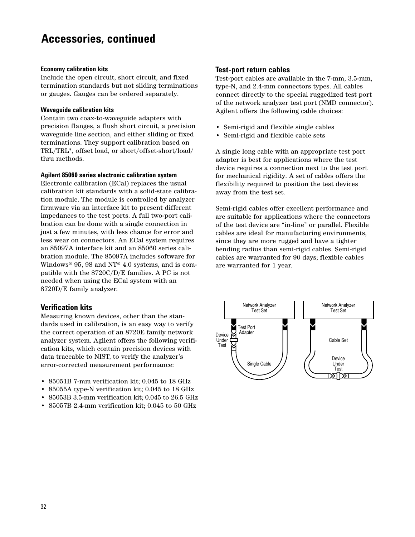# **Accessories, continued**

#### **Economy calibration kits**

Include the open circuit, short circuit, and fixed termination standards but not sliding terminations or gauges. Gauges can be ordered separately.

#### **Waveguide calibration kits**

Contain two coax-to-waveguide adapters with precision flanges, a flush short circuit, a precision waveguide line section, and either sliding or fixed terminations. They support calibration based on TRL/TRL\*, offset load, or short/offset-short/load/ thru methods.

#### **Agilent 85060 series electronic calibration system**

Electronic calibration (ECal) replaces the usual calibration kit standards with a solid-state calibration module. The module is controlled by analyzer firmware via an interface kit to present different impedances to the test ports. A full two-port calibration can be done with a single connection in just a few minutes, with less chance for error and less wear on connectors. An ECal system requires an 85097A interface kit and an 85060 series calibration module. The 85097A includes software for Windows® 95, 98 and NT® 4.0 systems, and is compatible with the 8720C/D/E families. A PC is not needed when using the ECal system with an 8720D/E family analyzer.

# **Verification kits**

Measuring known devices, other than the standards used in calibration, is an easy way to verify the correct operation of an 8720E family network analyzer system. Agilent offers the following verification kits, which contain precision devices with data traceable to NIST, to verify the analyzer's error-corrected measurement performance:

- 85051B 7-mm verification kit; 0.045 to 18 GHz
- 85055A type-N verification kit; 0.045 to 18 GHz
- 85053B 3.5-mm verification kit; 0.045 to 26.5 GHz
- 85057B 2.4-mm verification kit; 0.045 to 50 GHz

### **Test-port return cables**

Test-port cables are available in the 7-mm, 3.5-mm, type-N, and 2.4-mm connectors types. All cables connect directly to the special ruggedized test port of the network analyzer test port (NMD connector). Agilent offers the following cable choices:

- Semi-rigid and flexible single cables
- Semi-rigid and flexible cable sets

A single long cable with an appropriate test port adapter is best for applications where the test device requires a connection next to the test port for mechanical rigidity. A set of cables offers the flexibility required to position the test devices away from the test set.

Semi-rigid cables offer excellent performance and are suitable for applications where the connectors of the test device are "in-line" or parallel. Flexible cables are ideal for manufacturing environments, since they are more rugged and have a tighter bending radius than semi-rigid cables. Semi-rigid cables are warranted for 90 days; flexible cables are warranted for 1 year.

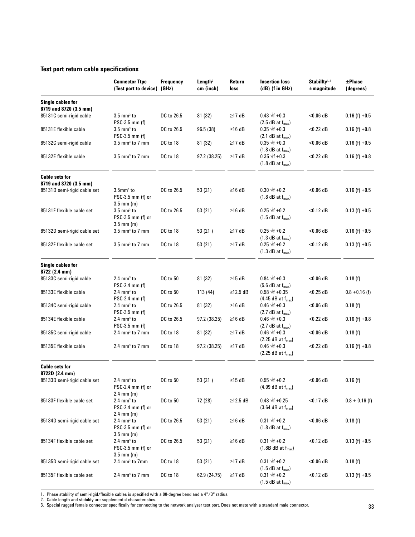### **Test port return cable specifications**

|                                             | <b>Connector Ttpe</b><br>(Test port to device) (GHz)                             | <b>Frequency</b> | Length <sup>2</sup><br>cm (inch) | Return<br>loss | <b>Insertion loss</b><br>$(dB)$ (f in GHz)              | Stabillty <sup>1,2</sup><br>$\pm$ magnitude | $\pm$ Phase<br>(degrees) |
|---------------------------------------------|----------------------------------------------------------------------------------|------------------|----------------------------------|----------------|---------------------------------------------------------|---------------------------------------------|--------------------------|
| Single cables for<br>8719 and 8720 (3.5 mm) |                                                                                  |                  |                                  |                |                                                         |                                             |                          |
| 85131C semi-rigid cable                     | $3.5 \text{ mm}^3$ to<br>PSC-3.5 mm (f)                                          | DC to 26.5       | 81 (32)                          | $\geq$ 17 dB   | $0.43 \sqrt{f} + 0.3$<br>$(2.5$ dB at $f_{max}$ )       | $< 0.06$ dB                                 | $0.16(f) + 0.5$          |
| 85131E flexible cable                       | $3.5 \text{ mm}^3$ to<br>PSC-3.5 mm (f)                                          | DC to 26.5       | 96.5 (38)                        | $\geq$ 16 dB   | $0.35 \sqrt{f} + 0.3$<br>$(2.1$ dB at $f_{max}$ )       | $<$ 0.22 dB                                 | $0.16$ (f) $+0.8$        |
| 85132C semi-rigid cable                     | $3.5$ mm <sup>3</sup> to 7 mm                                                    | DC to 18         | 81 (32)                          | $\geq$ 17 dB   | $0.35 \sqrt{f} + 0.3$<br>$(1.8$ dB at $f_{max}$ )       | $< 0.06$ dB                                 | $0.16(f) + 0.5$          |
| 85132E flexible cable                       | $3.5$ mm <sup>3</sup> to 7 mm                                                    | DC to 18         | 97.2 (38.25)                     | $\geq$ 17 dB   | 0 35 $\sqrt{f}$ +0.3<br>$(1.8$ dB at $f_{max}$ )        | $<$ 0.22 dB                                 | $0.16$ (f) $+0.8$        |
| <b>Cable sets for</b>                       |                                                                                  |                  |                                  |                |                                                         |                                             |                          |
| 8719 and 8720 (3.5 mm)                      |                                                                                  |                  |                                  |                |                                                         |                                             |                          |
| 85131D semi-rigid cable set                 | $3.5$ mm $3$ to<br>PSC-3.5 mm (f) or<br>$3.5$ mm (m)                             | DC to 26.5       | 53 (21)                          | $\geq$ 16 dB   | $0.30 \sqrt{f} + 0.2$<br>$(1.8$ dB at $f_{max}$ )       | $< 0.06$ dB                                 | $0.16(f) + 0.5$          |
| 85131F flexible cable set                   | $3.5 \text{ mm}^3$ to<br>PSC-3.5 mm (f) or<br>$3.5$ mm (m)                       | DC to 26.5       | 53 (21)                          | $\geq$ 16 dB   | $0.25 \sqrt{f} + 0.2$<br>$(1.5$ dB at $f_{max}$ )       | $<$ 0.12 dB                                 | $0.13(f) + 0.5$          |
| 85132D semi-rigid cable set                 | $3.5$ mm <sup>3</sup> to 7 mm                                                    | DC to 18         | 53(21)                           | $\geq$ 17 dB   | $0.25 \sqrt{f} + 0.2$<br>$(1.3$ dB at $f_{max}$ )       | $< 0.06$ dB                                 | $0.16$ (f) $+0.5$        |
| 85132F flexible cable set                   | $3.5$ mm <sup>3</sup> to 7 mm                                                    | DC to 18         | 53 (21)                          | ≥17 dB         | $0.25 \sqrt{f} + 0.2$<br>$(1.3$ dB at $f_{max}$ )       | $<$ 0.12 dB                                 | $0.13(f) + 0.5$          |
| Single cables for<br>8722 (2.4 mm)          |                                                                                  |                  |                                  |                |                                                         |                                             |                          |
| 85133C semi-rigid cable                     | $2.4 \text{ mm}^3$ to<br>PSC-2.4 mm (f)                                          | DC to 50         | 81 (32)                          | $\geq$ 15 dB   | $0.84 \sqrt{f} + 0.3$<br>$(5.6$ dB at $f_{max}$ )       | $< 0.06$ dB                                 | 0.18(f)                  |
| 85133E flexible cable                       | $2.4 \text{ mm}^3$ to<br>$PSC-2.4$ mm $(f)$                                      | DC to 50         | 113 (44)                         | $\geq$ 12.5 dB | $0.58 \sqrt{f} + 0.35$<br>$(4.45$ dB at $f_{max}$ )     | $<$ 0.25 dB                                 | $0.8 + 0.16$ (f)         |
| 85134C semi-rigid cable                     | $2.4 \text{ mm}^3$ to<br>PSC-3.5 mm (f)                                          | DC to 26.5       | 81 (32)                          | $\geq$ 16 dB   | $0.46 \sqrt{f} + 0.3$<br>$(2.7$ dB at $f_{max}$ )       | $< 0.06$ dB                                 | 0.18(f)                  |
| 85134E flexible cable                       | $2.4 \text{ mm}^3$ to<br>PSC-3.5 mm (f)                                          | DC to 26.5       | 97.2 (38.25)                     | $\geq$ 16 dB   | $0.46 \sqrt{f} + 0.3$<br>$(2.7 dB at f_{max})$          | $<$ 0.22 dB                                 | $0.16(f) + 0.8$          |
| 85135C semi-rigid cable                     | $2.4 \text{ mm}^3$ to 7 mm                                                       | DC to 18         | 81 (32)                          | $\geq$ 17 dB   | $0.46 \sqrt{f} + 0.3$<br>$(2.25$ dB at $f_{max}$ )      | $< 0.06$ dB                                 | 0.18(f)                  |
| 85135E flexible cable                       | $2.4 \text{ mm}^3$ to 7 mm                                                       | DC to 18         | 97.2 (38.25)                     | $\geq$ 17 dB   | $0.46 \sqrt{f} + 0.3$<br>$(2.25$ dB at $f_{max}$ )      | $<$ 0.22 dB                                 | $0.16$ (f) $+0.8$        |
| <b>Cable sets for</b><br>8722D (2.4 mm)     |                                                                                  |                  |                                  |                |                                                         |                                             |                          |
| 85133D semi-rigid cable set                 | $2.4 \text{ mm}^3$ to<br>$PSC-2.4$ mm (f) or<br>$2.4$ mm (m)                     | DC to 50         | 53 (21)                          | $\geq$ 15 dB   | $0.55 \sqrt{f} + 0.2$<br>$(4.09$ dB at $f_{max}$ )      | $<$ 0.06 dB                                 | 0.16(f)                  |
| 85133F flexible cable set                   | $2.4 \text{ mm}^3$ to<br>PSC-2.4 mm (f) or<br>$2.4 \, \text{mm} \, (\text{m})$   | DC to 50         | 72 (28)                          | $\geq$ 12.5 dB | $0.48 \sqrt{f} + 0.25$<br>$(3.64$ dB at $f_{max}$ )     | $<$ 0.17 dB                                 | $0.8 + 0.16$ (f)         |
| 85134D semi-rigid cable set                 | $2.4 \text{ mm}^3$ to<br>PSC-3.5 mm (f) or<br>$3.5$ mm (m)                       | DC to 26.5       | 53 (21)                          | $\geq$ 16 dB   | $0.31 \sqrt{f} + 0.2$<br>$(1.8$ dB at $f_{max}$ )       | $<$ 0.06 dB                                 | 0.18(f)                  |
| 85134F flexible cable set                   | $2.4 \text{ mm}^3$ to<br>$PSC-3.5$ mm (f) or<br>$3.5 \, \text{mm} \, \text{(m)}$ | DC to 26.5       | 53 (21)                          | $\geq$ 16 dB   | $0.31 \sqrt{f} + 0.2$<br>$(1.8B dB at f_{max})$         | $<$ 0.12 dB                                 | $0.13(f) + 0.5$          |
| 85135D semi-rigid cable set                 | 2.4 mm <sup>3</sup> to 7mm                                                       | DC to 18         | 53 (21)                          | $\geq$ 17 dB   | $0.31 \sqrt{f} + 0.2$<br>$(1.5$ dB at $f_{\text{max}})$ | $<$ 0.06 dB                                 | 0.18(f)                  |
| 85135F flexible cable set                   | $2.4 \text{ mm}^3$ to 7 mm                                                       | DC to 18         | 62.9 (24.75)                     | $\geq$ 17 dB   | $0.31 \sqrt{f} + 0.2$<br>$(1.5$ dB at $f_{max}$ )       | $<$ 0.12 dB                                 | $0.13(f) + 0.5$          |

1. Phase stability of semi-rigid/flexible cables is specified with a 90-degree bend and a 4"/3" radius.

2. Cable length and stability are supplemental characteristics.

3. Special rugged female connector specifically for connecting to the network analyzer test port. Does not mate with a standard male connector.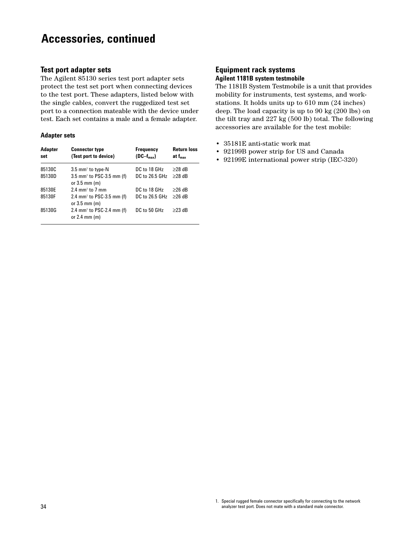# **Accessories, continued**

#### **Test port adapter sets**

The Agilent 85130 series test port adapter sets protect the test set port when connecting devices to the test port. These adapters, listed below with the single cables, convert the ruggedized test set port to a connection mateable with the device under test. Each set contains a male and a female adapter.

#### **Adapter sets**

| Adapter<br>set | <b>Connector type</b><br>(Test port to device)                                | <b>Frequency</b><br>$(DC-f_{max})$ | <b>Return loss</b><br>at $f_{\rm max}$ |
|----------------|-------------------------------------------------------------------------------|------------------------------------|----------------------------------------|
| 85130C         | $3.5$ mm <sup>1</sup> to type-N                                               | DC to 18 GHz                       | $\geq$ 28 dB                           |
| 85130D         | $3.5$ mm <sup>1</sup> to PSC-3.5 mm (f)<br>or $3.5$ mm $(m)$                  | DC to 26.5 GHz                     | $\geq$ 28 dB                           |
| 85130E         | $2.4$ mm <sup><math>1</math></sup> to $7$ mm                                  | DC to 18 GHz                       | $>26$ dB                               |
| 85130F         | 2.4 mm <sup>1</sup> to PSC-3.5 mm (f)<br>or $3.5 \text{ mm}$ (m)              | DC to 26.5 GHz                     | $>26$ dB                               |
| 85130G         | 2.4 mm <sup><math>1</math></sup> to PSC-2.4 mm (f)<br>or $2.4 \text{ mm}$ (m) | DC to 50 GHz                       | $\geq$ 23 dB                           |

### **Equipment rack systems Agilent 1181B system testmobile**

The 1181B System Testmobile is a unit that provides mobility for instruments, test systems, and workstations. It holds units up to 610 mm (24 inches) deep. The load capacity is up to 90 kg (200 lbs) on the tilt tray and 227 kg (500 lb) total. The following accessories are available for the test mobile:

- 35181E anti-static work mat
- 92199B power strip for US and Canada
- 92199E international power strip (IEC-320)